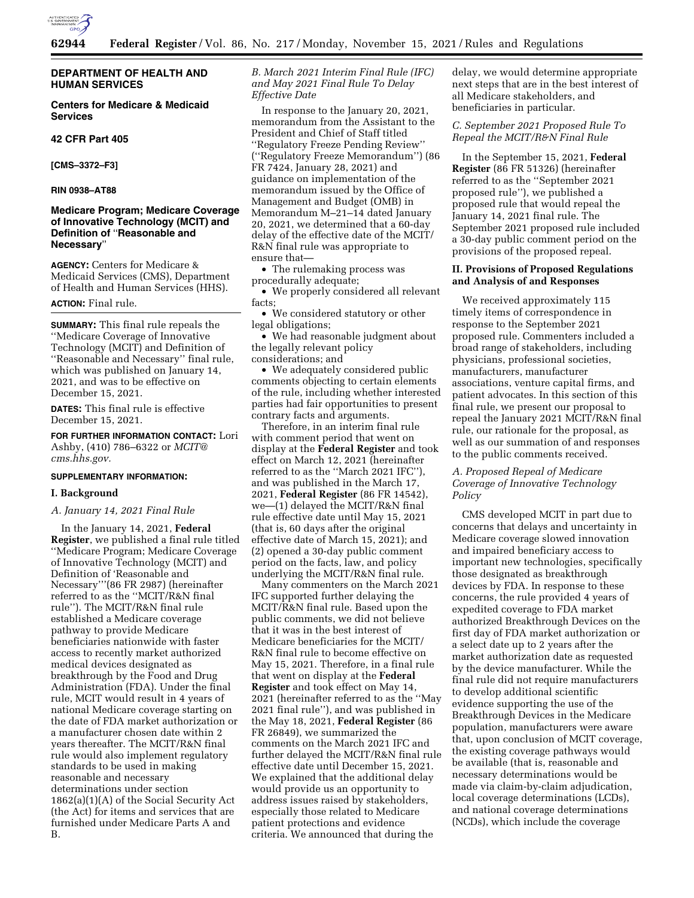

# **DEPARTMENT OF HEALTH AND HUMAN SERVICES**

# **Centers for Medicare & Medicaid Services**

# **42 CFR Part 405**

**[CMS–3372–F3]** 

#### **RIN 0938–AT88**

# **Medicare Program; Medicare Coverage of Innovative Technology (MCIT) and Definition of** ''**Reasonable and Necessary**''

**AGENCY:** Centers for Medicare & Medicaid Services (CMS), Department of Health and Human Services (HHS).

## **ACTION:** Final rule.

**SUMMARY:** This final rule repeals the ''Medicare Coverage of Innovative Technology (MCIT) and Definition of ''Reasonable and Necessary'' final rule, which was published on January 14, 2021, and was to be effective on December 15, 2021.

**DATES:** This final rule is effective December 15, 2021.

**FOR FURTHER INFORMATION CONTACT:** Lori Ashby, (410) 786–6322 or *[MCIT@](mailto:MCIT@cms.hhs.gov) [cms.hhs.gov.](mailto:MCIT@cms.hhs.gov)* 

#### **SUPPLEMENTARY INFORMATION:**

## **I. Background**

## *A. January 14, 2021 Final Rule*

In the January 14, 2021, **Federal Register**, we published a final rule titled ''Medicare Program; Medicare Coverage of Innovative Technology (MCIT) and Definition of 'Reasonable and Necessary'''(86 FR 2987) (hereinafter referred to as the ''MCIT/R&N final rule''). The MCIT/R&N final rule established a Medicare coverage pathway to provide Medicare beneficiaries nationwide with faster access to recently market authorized medical devices designated as breakthrough by the Food and Drug Administration (FDA). Under the final rule, MCIT would result in 4 years of national Medicare coverage starting on the date of FDA market authorization or a manufacturer chosen date within 2 years thereafter. The MCIT/R&N final rule would also implement regulatory standards to be used in making reasonable and necessary determinations under section 1862(a)(1)(A) of the Social Security Act (the Act) for items and services that are furnished under Medicare Parts A and B.

*B. March 2021 Interim Final Rule (IFC) and May 2021 Final Rule To Delay Effective Date* 

In response to the January 20, 2021, memorandum from the Assistant to the President and Chief of Staff titled ''Regulatory Freeze Pending Review'' (''Regulatory Freeze Memorandum'') (86 FR 7424, January 28, 2021) and guidance on implementation of the memorandum issued by the Office of Management and Budget (OMB) in Memorandum M–21–14 dated January 20, 2021, we determined that a 60-day delay of the effective date of the MCIT/ R&N final rule was appropriate to ensure that—

• The rulemaking process was procedurally adequate;

• We properly considered all relevant facts;

• We considered statutory or other legal obligations;

• We had reasonable judgment about the legally relevant policy considerations; and

• We adequately considered public comments objecting to certain elements of the rule, including whether interested parties had fair opportunities to present contrary facts and arguments.

Therefore, in an interim final rule with comment period that went on display at the **Federal Register** and took effect on March 12, 2021 (hereinafter referred to as the ''March 2021 IFC''), and was published in the March 17, 2021, **Federal Register** (86 FR 14542), we—(1) delayed the MCIT/R&N final rule effective date until May 15, 2021 (that is, 60 days after the original effective date of March 15, 2021); and (2) opened a 30-day public comment period on the facts, law, and policy underlying the MCIT/R&N final rule.

Many commenters on the March 2021 IFC supported further delaying the MCIT/R&N final rule. Based upon the public comments, we did not believe that it was in the best interest of Medicare beneficiaries for the MCIT/ R&N final rule to become effective on May 15, 2021. Therefore, in a final rule that went on display at the **Federal Register** and took effect on May 14, 2021 (hereinafter referred to as the ''May 2021 final rule''), and was published in the May 18, 2021, **Federal Register** (86 FR 26849), we summarized the comments on the March 2021 IFC and further delayed the MCIT/R&N final rule effective date until December 15, 2021. We explained that the additional delay would provide us an opportunity to address issues raised by stakeholders, especially those related to Medicare patient protections and evidence criteria. We announced that during the

delay, we would determine appropriate next steps that are in the best interest of all Medicare stakeholders, and beneficiaries in particular.

# *C. September 2021 Proposed Rule To Repeal the MCIT/R&N Final Rule*

In the September 15, 2021, **Federal Register** (86 FR 51326) (hereinafter referred to as the ''September 2021 proposed rule''), we published a proposed rule that would repeal the January 14, 2021 final rule. The September 2021 proposed rule included a 30-day public comment period on the provisions of the proposed repeal.

# **II. Provisions of Proposed Regulations and Analysis of and Responses**

We received approximately 115 timely items of correspondence in response to the September 2021 proposed rule. Commenters included a broad range of stakeholders, including physicians, professional societies, manufacturers, manufacturer associations, venture capital firms, and patient advocates. In this section of this final rule, we present our proposal to repeal the January 2021 MCIT/R&N final rule, our rationale for the proposal, as well as our summation of and responses to the public comments received.

# *A. Proposed Repeal of Medicare Coverage of Innovative Technology Policy*

CMS developed MCIT in part due to concerns that delays and uncertainty in Medicare coverage slowed innovation and impaired beneficiary access to important new technologies, specifically those designated as breakthrough devices by FDA. In response to these concerns, the rule provided 4 years of expedited coverage to FDA market authorized Breakthrough Devices on the first day of FDA market authorization or a select date up to 2 years after the market authorization date as requested by the device manufacturer. While the final rule did not require manufacturers to develop additional scientific evidence supporting the use of the Breakthrough Devices in the Medicare population, manufacturers were aware that, upon conclusion of MCIT coverage, the existing coverage pathways would be available (that is, reasonable and necessary determinations would be made via claim-by-claim adjudication, local coverage determinations (LCDs), and national coverage determinations (NCDs), which include the coverage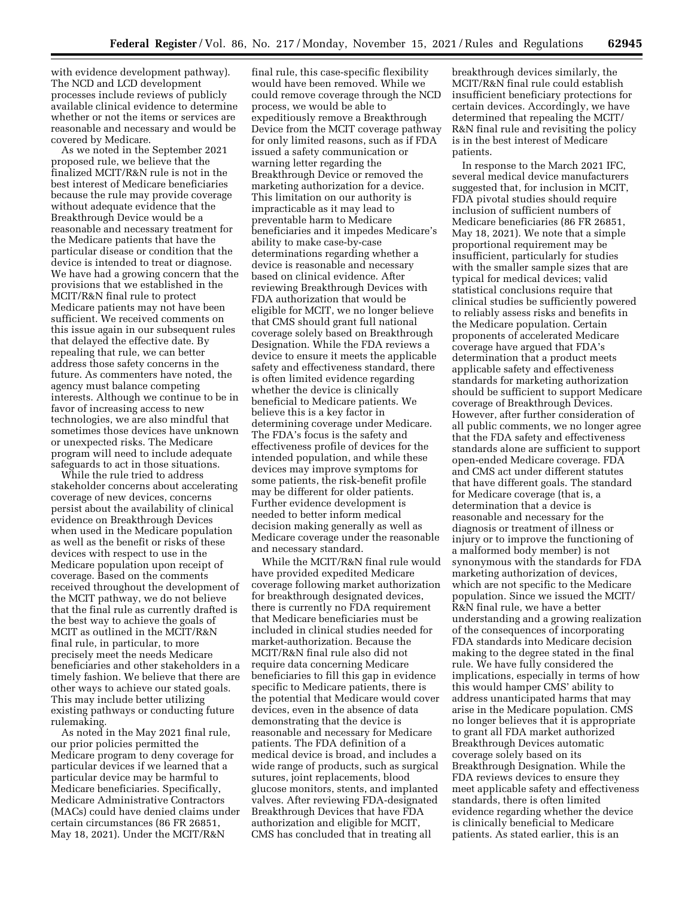with evidence development pathway). The NCD and LCD development processes include reviews of publicly available clinical evidence to determine whether or not the items or services are reasonable and necessary and would be covered by Medicare.

As we noted in the September 2021 proposed rule, we believe that the finalized MCIT/R&N rule is not in the best interest of Medicare beneficiaries because the rule may provide coverage without adequate evidence that the Breakthrough Device would be a reasonable and necessary treatment for the Medicare patients that have the particular disease or condition that the device is intended to treat or diagnose. We have had a growing concern that the provisions that we established in the MCIT/R&N final rule to protect Medicare patients may not have been sufficient. We received comments on this issue again in our subsequent rules that delayed the effective date. By repealing that rule, we can better address those safety concerns in the future. As commenters have noted, the agency must balance competing interests. Although we continue to be in favor of increasing access to new technologies, we are also mindful that sometimes those devices have unknown or unexpected risks. The Medicare program will need to include adequate safeguards to act in those situations.

While the rule tried to address stakeholder concerns about accelerating coverage of new devices, concerns persist about the availability of clinical evidence on Breakthrough Devices when used in the Medicare population as well as the benefit or risks of these devices with respect to use in the Medicare population upon receipt of coverage. Based on the comments received throughout the development of the MCIT pathway, we do not believe that the final rule as currently drafted is the best way to achieve the goals of MCIT as outlined in the MCIT/R&N final rule, in particular, to more precisely meet the needs Medicare beneficiaries and other stakeholders in a timely fashion. We believe that there are other ways to achieve our stated goals. This may include better utilizing existing pathways or conducting future rulemaking.

As noted in the May 2021 final rule, our prior policies permitted the Medicare program to deny coverage for particular devices if we learned that a particular device may be harmful to Medicare beneficiaries. Specifically, Medicare Administrative Contractors (MACs) could have denied claims under certain circumstances (86 FR 26851, May 18, 2021). Under the MCIT/R&N

final rule, this case-specific flexibility would have been removed. While we could remove coverage through the NCD process, we would be able to expeditiously remove a Breakthrough Device from the MCIT coverage pathway for only limited reasons, such as if FDA issued a safety communication or warning letter regarding the Breakthrough Device or removed the marketing authorization for a device. This limitation on our authority is impracticable as it may lead to preventable harm to Medicare beneficiaries and it impedes Medicare's ability to make case-by-case determinations regarding whether a device is reasonable and necessary based on clinical evidence. After reviewing Breakthrough Devices with FDA authorization that would be eligible for MCIT, we no longer believe that CMS should grant full national coverage solely based on Breakthrough Designation. While the FDA reviews a device to ensure it meets the applicable safety and effectiveness standard, there is often limited evidence regarding whether the device is clinically beneficial to Medicare patients. We believe this is a key factor in determining coverage under Medicare. The FDA's focus is the safety and effectiveness profile of devices for the intended population, and while these devices may improve symptoms for some patients, the risk-benefit profile may be different for older patients. Further evidence development is needed to better inform medical decision making generally as well as Medicare coverage under the reasonable and necessary standard.

While the MCIT/R&N final rule would have provided expedited Medicare coverage following market authorization for breakthrough designated devices, there is currently no FDA requirement that Medicare beneficiaries must be included in clinical studies needed for market-authorization. Because the MCIT/R&N final rule also did not require data concerning Medicare beneficiaries to fill this gap in evidence specific to Medicare patients, there is the potential that Medicare would cover devices, even in the absence of data demonstrating that the device is reasonable and necessary for Medicare patients. The FDA definition of a medical device is broad, and includes a wide range of products, such as surgical sutures, joint replacements, blood glucose monitors, stents, and implanted valves. After reviewing FDA-designated Breakthrough Devices that have FDA authorization and eligible for MCIT, CMS has concluded that in treating all

breakthrough devices similarly, the MCIT/R&N final rule could establish insufficient beneficiary protections for certain devices. Accordingly, we have determined that repealing the MCIT/ R&N final rule and revisiting the policy is in the best interest of Medicare patients.

In response to the March 2021 IFC, several medical device manufacturers suggested that, for inclusion in MCIT, FDA pivotal studies should require inclusion of sufficient numbers of Medicare beneficiaries (86 FR 26851, May 18, 2021). We note that a simple proportional requirement may be insufficient, particularly for studies with the smaller sample sizes that are typical for medical devices; valid statistical conclusions require that clinical studies be sufficiently powered to reliably assess risks and benefits in the Medicare population. Certain proponents of accelerated Medicare coverage have argued that FDA's determination that a product meets applicable safety and effectiveness standards for marketing authorization should be sufficient to support Medicare coverage of Breakthrough Devices. However, after further consideration of all public comments, we no longer agree that the FDA safety and effectiveness standards alone are sufficient to support open-ended Medicare coverage. FDA and CMS act under different statutes that have different goals. The standard for Medicare coverage (that is, a determination that a device is reasonable and necessary for the diagnosis or treatment of illness or injury or to improve the functioning of a malformed body member) is not synonymous with the standards for FDA marketing authorization of devices, which are not specific to the Medicare population. Since we issued the MCIT/ R&N final rule, we have a better understanding and a growing realization of the consequences of incorporating FDA standards into Medicare decision making to the degree stated in the final rule. We have fully considered the implications, especially in terms of how this would hamper CMS' ability to address unanticipated harms that may arise in the Medicare population. CMS no longer believes that it is appropriate to grant all FDA market authorized Breakthrough Devices automatic coverage solely based on its Breakthrough Designation. While the FDA reviews devices to ensure they meet applicable safety and effectiveness standards, there is often limited evidence regarding whether the device is clinically beneficial to Medicare patients. As stated earlier, this is an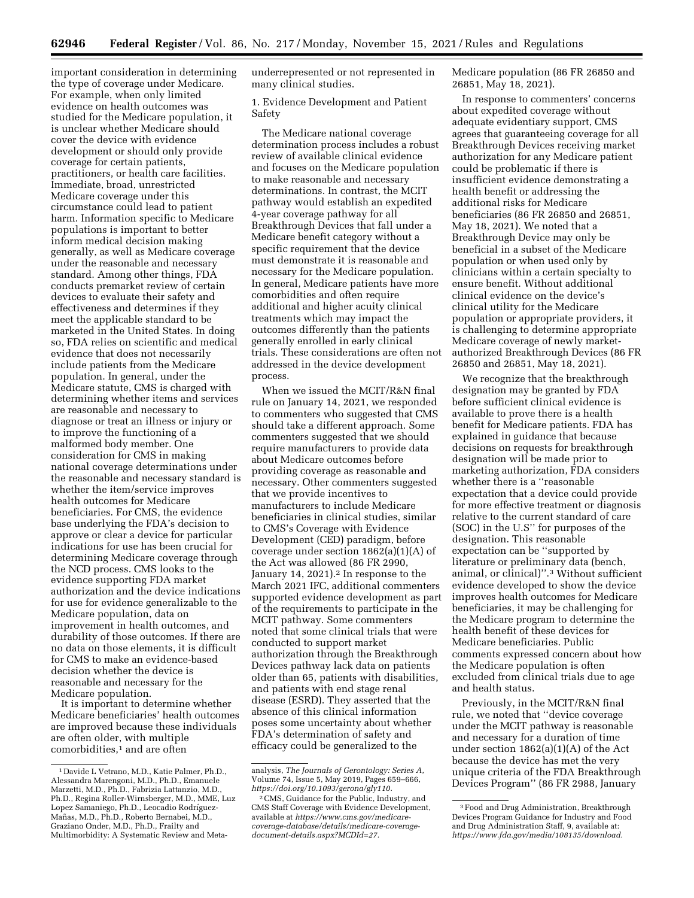important consideration in determining the type of coverage under Medicare. For example, when only limited evidence on health outcomes was studied for the Medicare population, it is unclear whether Medicare should cover the device with evidence development or should only provide coverage for certain patients, practitioners, or health care facilities. Immediate, broad, unrestricted Medicare coverage under this circumstance could lead to patient harm. Information specific to Medicare populations is important to better inform medical decision making generally, as well as Medicare coverage under the reasonable and necessary standard. Among other things, FDA conducts premarket review of certain devices to evaluate their safety and effectiveness and determines if they meet the applicable standard to be marketed in the United States. In doing so, FDA relies on scientific and medical evidence that does not necessarily include patients from the Medicare population. In general, under the Medicare statute, CMS is charged with determining whether items and services are reasonable and necessary to diagnose or treat an illness or injury or to improve the functioning of a malformed body member. One consideration for CMS in making national coverage determinations under the reasonable and necessary standard is whether the item/service improves health outcomes for Medicare beneficiaries. For CMS, the evidence base underlying the FDA's decision to approve or clear a device for particular indications for use has been crucial for determining Medicare coverage through the NCD process. CMS looks to the evidence supporting FDA market authorization and the device indications for use for evidence generalizable to the Medicare population, data on improvement in health outcomes, and durability of those outcomes. If there are no data on those elements, it is difficult for CMS to make an evidence-based decision whether the device is reasonable and necessary for the Medicare population.

It is important to determine whether Medicare beneficiaries' health outcomes are improved because these individuals are often older, with multiple comorbidities,<sup>1</sup> and are often

underrepresented or not represented in many clinical studies.

1. Evidence Development and Patient Safety

The Medicare national coverage determination process includes a robust review of available clinical evidence and focuses on the Medicare population to make reasonable and necessary determinations. In contrast, the MCIT pathway would establish an expedited 4-year coverage pathway for all Breakthrough Devices that fall under a Medicare benefit category without a specific requirement that the device must demonstrate it is reasonable and necessary for the Medicare population. In general, Medicare patients have more comorbidities and often require additional and higher acuity clinical treatments which may impact the outcomes differently than the patients generally enrolled in early clinical trials. These considerations are often not addressed in the device development process.

When we issued the MCIT/R&N final rule on January 14, 2021, we responded to commenters who suggested that CMS should take a different approach. Some commenters suggested that we should require manufacturers to provide data about Medicare outcomes before providing coverage as reasonable and necessary. Other commenters suggested that we provide incentives to manufacturers to include Medicare beneficiaries in clinical studies, similar to CMS's Coverage with Evidence Development (CED) paradigm, before coverage under section 1862(a)(1)(A) of the Act was allowed (86 FR 2990, January 14, 2021).<sup>2</sup> In response to the March 2021 IFC, additional commenters supported evidence development as part of the requirements to participate in the MCIT pathway. Some commenters noted that some clinical trials that were conducted to support market authorization through the Breakthrough Devices pathway lack data on patients older than 65, patients with disabilities, and patients with end stage renal disease (ESRD). They asserted that the absence of this clinical information poses some uncertainty about whether FDA's determination of safety and efficacy could be generalized to the

Medicare population (86 FR 26850 and 26851, May 18, 2021).

In response to commenters' concerns about expedited coverage without adequate evidentiary support, CMS agrees that guaranteeing coverage for all Breakthrough Devices receiving market authorization for any Medicare patient could be problematic if there is insufficient evidence demonstrating a health benefit or addressing the additional risks for Medicare beneficiaries (86 FR 26850 and 26851, May 18, 2021). We noted that a Breakthrough Device may only be beneficial in a subset of the Medicare population or when used only by clinicians within a certain specialty to ensure benefit. Without additional clinical evidence on the device's clinical utility for the Medicare population or appropriate providers, it is challenging to determine appropriate Medicare coverage of newly marketauthorized Breakthrough Devices (86 FR 26850 and 26851, May 18, 2021).

We recognize that the breakthrough designation may be granted by FDA before sufficient clinical evidence is available to prove there is a health benefit for Medicare patients. FDA has explained in guidance that because decisions on requests for breakthrough designation will be made prior to marketing authorization, FDA considers whether there is a "reasonable expectation that a device could provide for more effective treatment or diagnosis relative to the current standard of care (SOC) in the U.S'' for purposes of the designation. This reasonable expectation can be ''supported by literature or preliminary data (bench, animal, or clinical)''.3 Without sufficient evidence developed to show the device improves health outcomes for Medicare beneficiaries, it may be challenging for the Medicare program to determine the health benefit of these devices for Medicare beneficiaries. Public comments expressed concern about how the Medicare population is often excluded from clinical trials due to age and health status.

Previously, in the MCIT/R&N final rule, we noted that ''device coverage under the MCIT pathway is reasonable and necessary for a duration of time under section 1862(a)(1)(A) of the Act because the device has met the very unique criteria of the FDA Breakthrough Devices Program'' (86 FR 2988, January

<sup>1</sup> Davide L Vetrano, M.D., Katie Palmer, Ph.D., Alessandra Marengoni, M.D., Ph.D., Emanuele Marzetti, M.D., Ph.D., Fabrizia Lattanzio, M.D., Ph.D., Regina Roller-Wirnsberger, M.D., MME, Luz Lopez Samaniego, Ph.D., Leocadio Rodríguez-Mañas, M.D., Ph.D., Roberto Bernabei, M.D., Graziano Onder, M.D., Ph.D., Frailty and Multimorbidity: A Systematic Review and Meta-

analysis, *The Journals of Gerontology: Series A,*  Volume 74, Issue 5, May 2019, Pages 659–666, *[https://doi.org/10.1093/gerona/gly110.](https://doi.org/10.1093/gerona/gly110)* 

<sup>2</sup>CMS, Guidance for the Public, Industry, and CMS Staff Coverage with Evidence Development, available at *[https://www.cms.gov/medicare](https://www.cms.gov/medicare-coverage-database/details/medicare-coverage-document-details.aspx?MCDId=27)[coverage-database/details/medicare-coverage](https://www.cms.gov/medicare-coverage-database/details/medicare-coverage-document-details.aspx?MCDId=27)[document-details.aspx?MCDId=27.](https://www.cms.gov/medicare-coverage-database/details/medicare-coverage-document-details.aspx?MCDId=27)* 

<sup>3</sup>Food and Drug Administration, Breakthrough Devices Program Guidance for Industry and Food and Drug Administration Staff, 9, available at: *[https://www.fda.gov/media/108135/download.](https://www.fda.gov/media/108135/download)*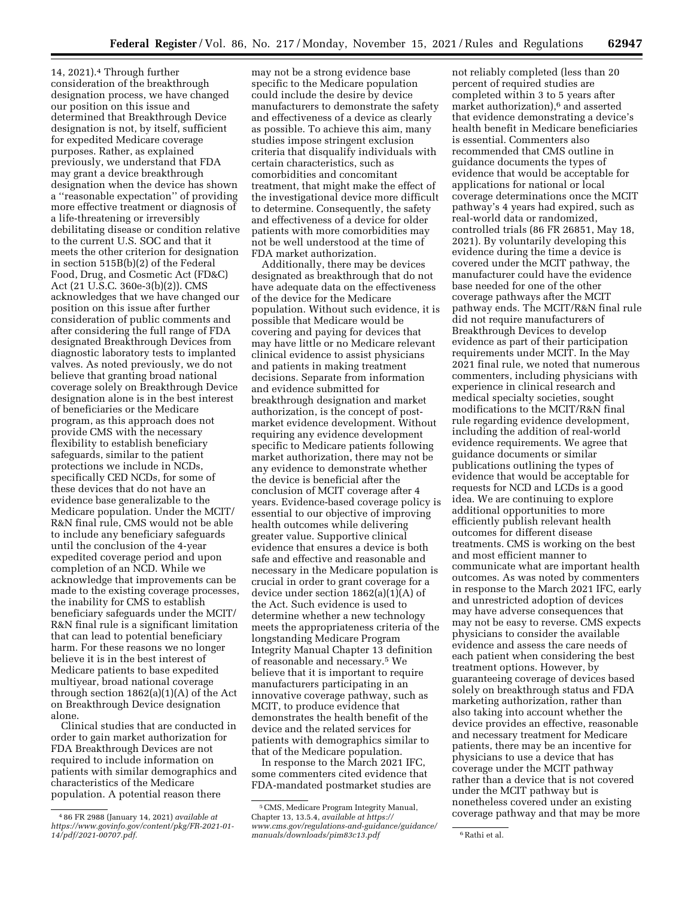14, 2021).4 Through further consideration of the breakthrough designation process, we have changed our position on this issue and determined that Breakthrough Device designation is not, by itself, sufficient for expedited Medicare coverage purposes. Rather, as explained previously, we understand that FDA may grant a device breakthrough designation when the device has shown a ''reasonable expectation'' of providing more effective treatment or diagnosis of a life-threatening or irreversibly debilitating disease or condition relative to the current U.S. SOC and that it meets the other criterion for designation in section 515B(b)(2) of the Federal Food, Drug, and Cosmetic Act (FD&C) Act (21 U.S.C. 360e-3(b)(2)). CMS acknowledges that we have changed our position on this issue after further consideration of public comments and after considering the full range of FDA designated Breakthrough Devices from diagnostic laboratory tests to implanted valves. As noted previously, we do not believe that granting broad national coverage solely on Breakthrough Device designation alone is in the best interest of beneficiaries or the Medicare program, as this approach does not provide CMS with the necessary flexibility to establish beneficiary safeguards, similar to the patient protections we include in NCDs, specifically CED NCDs, for some of these devices that do not have an evidence base generalizable to the Medicare population. Under the MCIT/ R&N final rule, CMS would not be able to include any beneficiary safeguards until the conclusion of the 4-year expedited coverage period and upon completion of an NCD. While we acknowledge that improvements can be made to the existing coverage processes, the inability for CMS to establish beneficiary safeguards under the MCIT/ R&N final rule is a significant limitation that can lead to potential beneficiary harm. For these reasons we no longer believe it is in the best interest of Medicare patients to base expedited multiyear, broad national coverage through section 1862(a)(1)(A) of the Act on Breakthrough Device designation alone.

Clinical studies that are conducted in order to gain market authorization for FDA Breakthrough Devices are not required to include information on patients with similar demographics and characteristics of the Medicare population. A potential reason there

may not be a strong evidence base specific to the Medicare population could include the desire by device manufacturers to demonstrate the safety and effectiveness of a device as clearly as possible. To achieve this aim, many studies impose stringent exclusion criteria that disqualify individuals with certain characteristics, such as comorbidities and concomitant treatment, that might make the effect of the investigational device more difficult to determine. Consequently, the safety and effectiveness of a device for older patients with more comorbidities may not be well understood at the time of FDA market authorization.

Additionally, there may be devices designated as breakthrough that do not have adequate data on the effectiveness of the device for the Medicare population. Without such evidence, it is possible that Medicare would be covering and paying for devices that may have little or no Medicare relevant clinical evidence to assist physicians and patients in making treatment decisions. Separate from information and evidence submitted for breakthrough designation and market authorization, is the concept of postmarket evidence development. Without requiring any evidence development specific to Medicare patients following market authorization, there may not be any evidence to demonstrate whether the device is beneficial after the conclusion of MCIT coverage after 4 years. Evidence-based coverage policy is essential to our objective of improving health outcomes while delivering greater value. Supportive clinical evidence that ensures a device is both safe and effective and reasonable and necessary in the Medicare population is crucial in order to grant coverage for a device under section 1862(a)(1)(A) of the Act. Such evidence is used to determine whether a new technology meets the appropriateness criteria of the longstanding Medicare Program Integrity Manual Chapter 13 definition of reasonable and necessary.5 We believe that it is important to require manufacturers participating in an innovative coverage pathway, such as MCIT, to produce evidence that demonstrates the health benefit of the device and the related services for patients with demographics similar to that of the Medicare population.

In response to the March 2021 IFC, some commenters cited evidence that FDA-mandated postmarket studies are

not reliably completed (less than 20 percent of required studies are completed within 3 to 5 years after market authorization),6 and asserted that evidence demonstrating a device's health benefit in Medicare beneficiaries is essential. Commenters also recommended that CMS outline in guidance documents the types of evidence that would be acceptable for applications for national or local coverage determinations once the MCIT pathway's 4 years had expired, such as real-world data or randomized, controlled trials (86 FR 26851, May 18, 2021). By voluntarily developing this evidence during the time a device is covered under the MCIT pathway, the manufacturer could have the evidence base needed for one of the other coverage pathways after the MCIT pathway ends. The MCIT/R&N final rule did not require manufacturers of Breakthrough Devices to develop evidence as part of their participation requirements under MCIT. In the May 2021 final rule, we noted that numerous commenters, including physicians with experience in clinical research and medical specialty societies, sought modifications to the MCIT/R&N final rule regarding evidence development, including the addition of real-world evidence requirements. We agree that guidance documents or similar publications outlining the types of evidence that would be acceptable for requests for NCD and LCDs is a good idea. We are continuing to explore additional opportunities to more efficiently publish relevant health outcomes for different disease treatments. CMS is working on the best and most efficient manner to communicate what are important health outcomes. As was noted by commenters in response to the March 2021 IFC, early and unrestricted adoption of devices may have adverse consequences that may not be easy to reverse. CMS expects physicians to consider the available evidence and assess the care needs of each patient when considering the best treatment options. However, by guaranteeing coverage of devices based solely on breakthrough status and FDA marketing authorization, rather than also taking into account whether the device provides an effective, reasonable and necessary treatment for Medicare patients, there may be an incentive for physicians to use a device that has coverage under the MCIT pathway rather than a device that is not covered under the MCIT pathway but is nonetheless covered under an existing coverage pathway and that may be more

<sup>4</sup> 86 FR 2988 (January 14, 2021) *available at [https://www.govinfo.gov/content/pkg/FR-2021-01-](https://www.govinfo.gov/content/pkg/FR-2021-01-14/pdf/2021-00707.pdf) [14/pdf/2021-00707.pdf.](https://www.govinfo.gov/content/pkg/FR-2021-01-14/pdf/2021-00707.pdf)* 

<sup>5</sup>CMS, Medicare Program Integrity Manual, Chapter 13, 13.5.4, *available at [https://](https://www.cms.gov/regulations-and-guidance/guidance/manuals/downloads/pim83c13.pdf) [www.cms.gov/regulations-and-guidance/guidance/](https://www.cms.gov/regulations-and-guidance/guidance/manuals/downloads/pim83c13.pdf) [manuals/downloads/pim83c13.pdf](https://www.cms.gov/regulations-and-guidance/guidance/manuals/downloads/pim83c13.pdf)* 6Rathi et al.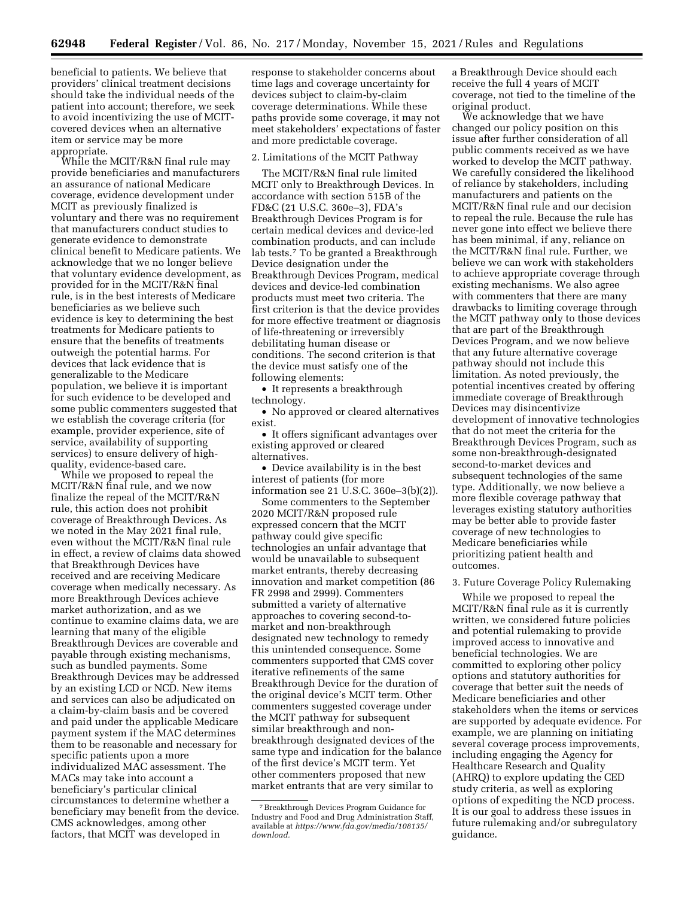beneficial to patients. We believe that providers' clinical treatment decisions should take the individual needs of the patient into account; therefore, we seek to avoid incentivizing the use of MCITcovered devices when an alternative item or service may be more appropriate.

While the MCIT/R&N final rule may provide beneficiaries and manufacturers an assurance of national Medicare coverage, evidence development under MCIT as previously finalized is voluntary and there was no requirement that manufacturers conduct studies to generate evidence to demonstrate clinical benefit to Medicare patients. We acknowledge that we no longer believe that voluntary evidence development, as provided for in the MCIT/R&N final rule, is in the best interests of Medicare beneficiaries as we believe such evidence is key to determining the best treatments for Medicare patients to ensure that the benefits of treatments outweigh the potential harms. For devices that lack evidence that is generalizable to the Medicare population, we believe it is important for such evidence to be developed and some public commenters suggested that we establish the coverage criteria (for example, provider experience, site of service, availability of supporting services) to ensure delivery of highquality, evidence-based care.

While we proposed to repeal the MCIT/R&N final rule, and we now finalize the repeal of the MCIT/R&N rule, this action does not prohibit coverage of Breakthrough Devices. As we noted in the May 2021 final rule, even without the MCIT/R&N final rule in effect, a review of claims data showed that Breakthrough Devices have received and are receiving Medicare coverage when medically necessary. As more Breakthrough Devices achieve market authorization, and as we continue to examine claims data, we are learning that many of the eligible Breakthrough Devices are coverable and payable through existing mechanisms, such as bundled payments. Some Breakthrough Devices may be addressed by an existing LCD or NCD. New items and services can also be adjudicated on a claim-by-claim basis and be covered and paid under the applicable Medicare payment system if the MAC determines them to be reasonable and necessary for specific patients upon a more individualized MAC assessment. The MACs may take into account a beneficiary's particular clinical circumstances to determine whether a beneficiary may benefit from the device. CMS acknowledges, among other factors, that MCIT was developed in

response to stakeholder concerns about time lags and coverage uncertainty for devices subject to claim-by-claim coverage determinations. While these paths provide some coverage, it may not meet stakeholders' expectations of faster and more predictable coverage.

#### 2. Limitations of the MCIT Pathway

The MCIT/R&N final rule limited MCIT only to Breakthrough Devices. In accordance with section 515B of the FD&C (21 U.S.C. 360e–3), FDA's Breakthrough Devices Program is for certain medical devices and device-led combination products, and can include lab tests.7 To be granted a Breakthrough Device designation under the Breakthrough Devices Program, medical devices and device-led combination products must meet two criteria. The first criterion is that the device provides for more effective treatment or diagnosis of life-threatening or irreversibly debilitating human disease or conditions. The second criterion is that the device must satisfy one of the following elements:

• It represents a breakthrough technology.

• No approved or cleared alternatives exist.

• It offers significant advantages over existing approved or cleared alternatives.

• Device availability is in the best interest of patients (for more information see 21 U.S.C. 360e–3(b)(2)).

Some commenters to the September 2020 MCIT/R&N proposed rule expressed concern that the MCIT pathway could give specific technologies an unfair advantage that would be unavailable to subsequent market entrants, thereby decreasing innovation and market competition (86 FR 2998 and 2999). Commenters submitted a variety of alternative approaches to covering second-tomarket and non-breakthrough designated new technology to remedy this unintended consequence. Some commenters supported that CMS cover iterative refinements of the same Breakthrough Device for the duration of the original device's MCIT term. Other commenters suggested coverage under the MCIT pathway for subsequent similar breakthrough and nonbreakthrough designated devices of the same type and indication for the balance of the first device's MCIT term. Yet other commenters proposed that new market entrants that are very similar to

a Breakthrough Device should each receive the full 4 years of MCIT coverage, not tied to the timeline of the original product.

We acknowledge that we have changed our policy position on this issue after further consideration of all public comments received as we have worked to develop the MCIT pathway. We carefully considered the likelihood of reliance by stakeholders, including manufacturers and patients on the MCIT/R&N final rule and our decision to repeal the rule. Because the rule has never gone into effect we believe there has been minimal, if any, reliance on the MCIT/R&N final rule. Further, we believe we can work with stakeholders to achieve appropriate coverage through existing mechanisms. We also agree with commenters that there are many drawbacks to limiting coverage through the MCIT pathway only to those devices that are part of the Breakthrough Devices Program, and we now believe that any future alternative coverage pathway should not include this limitation. As noted previously, the potential incentives created by offering immediate coverage of Breakthrough Devices may disincentivize development of innovative technologies that do not meet the criteria for the Breakthrough Devices Program, such as some non-breakthrough-designated second-to-market devices and subsequent technologies of the same type. Additionally, we now believe a more flexible coverage pathway that leverages existing statutory authorities may be better able to provide faster coverage of new technologies to Medicare beneficiaries while prioritizing patient health and outcomes.

#### 3. Future Coverage Policy Rulemaking

While we proposed to repeal the MCIT/R&N final rule as it is currently written, we considered future policies and potential rulemaking to provide improved access to innovative and beneficial technologies. We are committed to exploring other policy options and statutory authorities for coverage that better suit the needs of Medicare beneficiaries and other stakeholders when the items or services are supported by adequate evidence. For example, we are planning on initiating several coverage process improvements, including engaging the Agency for Healthcare Research and Quality (AHRQ) to explore updating the CED study criteria, as well as exploring options of expediting the NCD process. It is our goal to address these issues in future rulemaking and/or subregulatory guidance.

<sup>7</sup>Breakthrough Devices Program Guidance for Industry and Food and Drug Administration Staff, available at *[https://www.fda.gov/media/108135/](https://www.fda.gov/media/108135/download) [download.](https://www.fda.gov/media/108135/download)*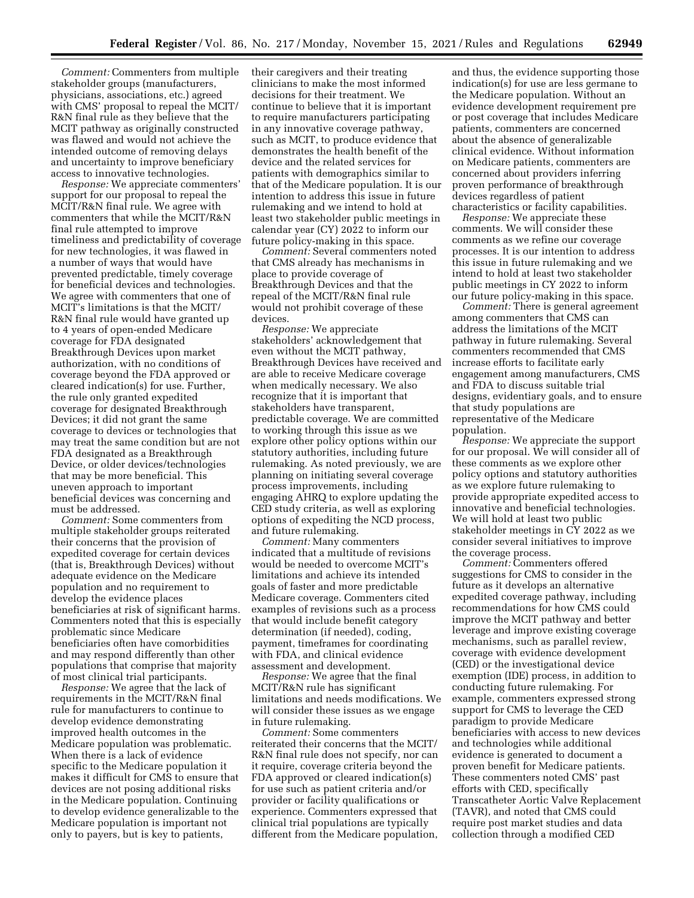*Comment:* Commenters from multiple stakeholder groups (manufacturers, physicians, associations, etc.) agreed with CMS' proposal to repeal the MCIT/ R&N final rule as they believe that the MCIT pathway as originally constructed was flawed and would not achieve the intended outcome of removing delays and uncertainty to improve beneficiary access to innovative technologies.

*Response:* We appreciate commenters' support for our proposal to repeal the MCIT/R&N final rule. We agree with commenters that while the MCIT/R&N final rule attempted to improve timeliness and predictability of coverage for new technologies, it was flawed in a number of ways that would have prevented predictable, timely coverage for beneficial devices and technologies. We agree with commenters that one of MCIT's limitations is that the MCIT/ R&N final rule would have granted up to 4 years of open-ended Medicare coverage for FDA designated Breakthrough Devices upon market authorization, with no conditions of coverage beyond the FDA approved or cleared indication(s) for use. Further, the rule only granted expedited coverage for designated Breakthrough Devices; it did not grant the same coverage to devices or technologies that may treat the same condition but are not FDA designated as a Breakthrough Device, or older devices/technologies that may be more beneficial. This uneven approach to important beneficial devices was concerning and must be addressed.

*Comment:* Some commenters from multiple stakeholder groups reiterated their concerns that the provision of expedited coverage for certain devices (that is, Breakthrough Devices) without adequate evidence on the Medicare population and no requirement to develop the evidence places beneficiaries at risk of significant harms. Commenters noted that this is especially problematic since Medicare beneficiaries often have comorbidities and may respond differently than other populations that comprise that majority of most clinical trial participants.

*Response:* We agree that the lack of requirements in the MCIT/R&N final rule for manufacturers to continue to develop evidence demonstrating improved health outcomes in the Medicare population was problematic. When there is a lack of evidence specific to the Medicare population it makes it difficult for CMS to ensure that devices are not posing additional risks in the Medicare population. Continuing to develop evidence generalizable to the Medicare population is important not only to payers, but is key to patients,

their caregivers and their treating clinicians to make the most informed decisions for their treatment. We continue to believe that it is important to require manufacturers participating in any innovative coverage pathway, such as MCIT, to produce evidence that demonstrates the health benefit of the device and the related services for patients with demographics similar to that of the Medicare population. It is our intention to address this issue in future rulemaking and we intend to hold at least two stakeholder public meetings in calendar year (CY) 2022 to inform our future policy-making in this space.

*Comment:* Several commenters noted that CMS already has mechanisms in place to provide coverage of Breakthrough Devices and that the repeal of the MCIT/R&N final rule would not prohibit coverage of these devices.

*Response:* We appreciate stakeholders' acknowledgement that even without the MCIT pathway, Breakthrough Devices have received and are able to receive Medicare coverage when medically necessary. We also recognize that it is important that stakeholders have transparent, predictable coverage. We are committed to working through this issue as we explore other policy options within our statutory authorities, including future rulemaking. As noted previously, we are planning on initiating several coverage process improvements, including engaging AHRQ to explore updating the CED study criteria, as well as exploring options of expediting the NCD process, and future rulemaking.

*Comment:* Many commenters indicated that a multitude of revisions would be needed to overcome MCIT's limitations and achieve its intended goals of faster and more predictable Medicare coverage. Commenters cited examples of revisions such as a process that would include benefit category determination (if needed), coding, payment, timeframes for coordinating with FDA, and clinical evidence assessment and development.

*Response:* We agree that the final MCIT/R&N rule has significant limitations and needs modifications. We will consider these issues as we engage in future rulemaking.

*Comment:* Some commenters reiterated their concerns that the MCIT/ R&N final rule does not specify, nor can it require, coverage criteria beyond the FDA approved or cleared indication(s) for use such as patient criteria and/or provider or facility qualifications or experience. Commenters expressed that clinical trial populations are typically different from the Medicare population, and thus, the evidence supporting those indication(s) for use are less germane to the Medicare population. Without an evidence development requirement pre or post coverage that includes Medicare patients, commenters are concerned about the absence of generalizable clinical evidence. Without information on Medicare patients, commenters are concerned about providers inferring proven performance of breakthrough devices regardless of patient characteristics or facility capabilities.

*Response:* We appreciate these comments. We will consider these comments as we refine our coverage processes. It is our intention to address this issue in future rulemaking and we intend to hold at least two stakeholder public meetings in CY 2022 to inform our future policy-making in this space.

*Comment:* There is general agreement among commenters that CMS can address the limitations of the MCIT pathway in future rulemaking. Several commenters recommended that CMS increase efforts to facilitate early engagement among manufacturers, CMS and FDA to discuss suitable trial designs, evidentiary goals, and to ensure that study populations are representative of the Medicare population.

*Response:* We appreciate the support for our proposal. We will consider all of these comments as we explore other policy options and statutory authorities as we explore future rulemaking to provide appropriate expedited access to innovative and beneficial technologies. We will hold at least two public stakeholder meetings in CY 2022 as we consider several initiatives to improve the coverage process.

*Comment:* Commenters offered suggestions for CMS to consider in the future as it develops an alternative expedited coverage pathway, including recommendations for how CMS could improve the MCIT pathway and better leverage and improve existing coverage mechanisms, such as parallel review, coverage with evidence development (CED) or the investigational device exemption (IDE) process, in addition to conducting future rulemaking. For example, commenters expressed strong support for CMS to leverage the CED paradigm to provide Medicare beneficiaries with access to new devices and technologies while additional evidence is generated to document a proven benefit for Medicare patients. These commenters noted CMS' past efforts with CED, specifically Transcatheter Aortic Valve Replacement (TAVR), and noted that CMS could require post market studies and data collection through a modified CED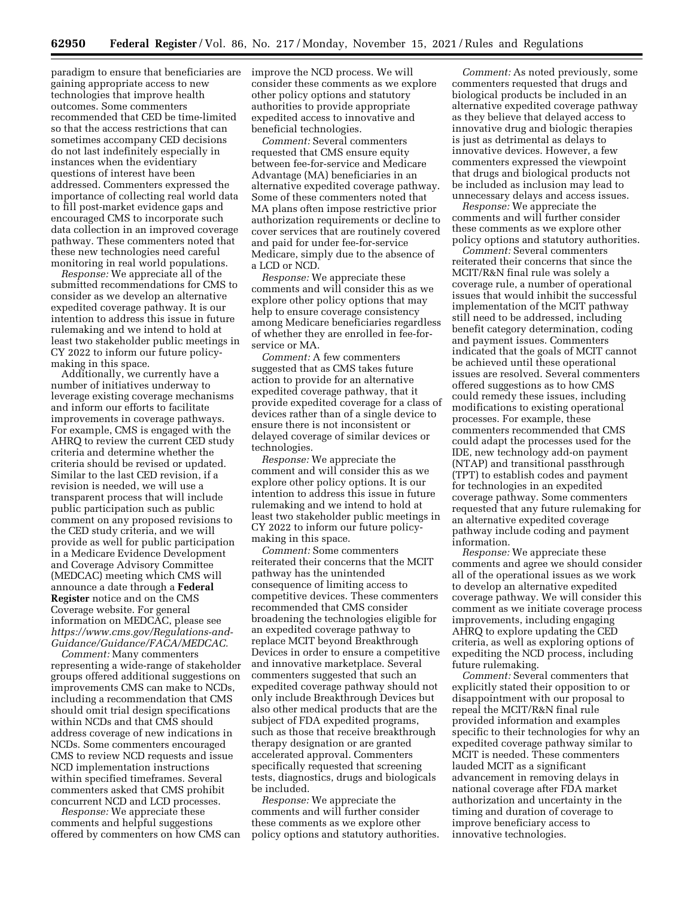paradigm to ensure that beneficiaries are gaining appropriate access to new technologies that improve health outcomes. Some commenters recommended that CED be time-limited so that the access restrictions that can sometimes accompany CED decisions do not last indefinitely especially in instances when the evidentiary questions of interest have been addressed. Commenters expressed the importance of collecting real world data to fill post-market evidence gaps and encouraged CMS to incorporate such data collection in an improved coverage pathway. These commenters noted that these new technologies need careful monitoring in real world populations.

*Response:* We appreciate all of the submitted recommendations for CMS to consider as we develop an alternative expedited coverage pathway. It is our intention to address this issue in future rulemaking and we intend to hold at least two stakeholder public meetings in CY 2022 to inform our future policymaking in this space.

Additionally, we currently have a number of initiatives underway to leverage existing coverage mechanisms and inform our efforts to facilitate improvements in coverage pathways. For example, CMS is engaged with the AHRQ to review the current CED study criteria and determine whether the criteria should be revised or updated. Similar to the last CED revision, if a revision is needed, we will use a transparent process that will include public participation such as public comment on any proposed revisions to the CED study criteria, and we will provide as well for public participation in a Medicare Evidence Development and Coverage Advisory Committee (MEDCAC) meeting which CMS will announce a date through a **Federal Register** notice and on the CMS Coverage website. For general information on MEDCAC, please see *[https://www.cms.gov/Regulations-and-](https://www.cms.gov/Regulations-and-Guidance/Guidance/FACA/MEDCAC)[Guidance/Guidance/FACA/MEDCAC.](https://www.cms.gov/Regulations-and-Guidance/Guidance/FACA/MEDCAC)* 

*Comment:* Many commenters representing a wide-range of stakeholder groups offered additional suggestions on improvements CMS can make to NCDs, including a recommendation that CMS should omit trial design specifications within NCDs and that CMS should address coverage of new indications in NCDs. Some commenters encouraged CMS to review NCD requests and issue NCD implementation instructions within specified timeframes. Several commenters asked that CMS prohibit concurrent NCD and LCD processes.

*Response:* We appreciate these comments and helpful suggestions offered by commenters on how CMS can improve the NCD process. We will consider these comments as we explore other policy options and statutory authorities to provide appropriate expedited access to innovative and beneficial technologies.

*Comment:* Several commenters requested that CMS ensure equity between fee-for-service and Medicare Advantage (MA) beneficiaries in an alternative expedited coverage pathway. Some of these commenters noted that MA plans often impose restrictive prior authorization requirements or decline to cover services that are routinely covered and paid for under fee-for-service Medicare, simply due to the absence of a LCD or NCD.

*Response:* We appreciate these comments and will consider this as we explore other policy options that may help to ensure coverage consistency among Medicare beneficiaries regardless of whether they are enrolled in fee-forservice or MA.

*Comment:* A few commenters suggested that as CMS takes future action to provide for an alternative expedited coverage pathway, that it provide expedited coverage for a class of devices rather than of a single device to ensure there is not inconsistent or delayed coverage of similar devices or technologies.

*Response:* We appreciate the comment and will consider this as we explore other policy options. It is our intention to address this issue in future rulemaking and we intend to hold at least two stakeholder public meetings in CY 2022 to inform our future policymaking in this space.

*Comment:* Some commenters reiterated their concerns that the MCIT pathway has the unintended consequence of limiting access to competitive devices. These commenters recommended that CMS consider broadening the technologies eligible for an expedited coverage pathway to replace MCIT beyond Breakthrough Devices in order to ensure a competitive and innovative marketplace. Several commenters suggested that such an expedited coverage pathway should not only include Breakthrough Devices but also other medical products that are the subject of FDA expedited programs, such as those that receive breakthrough therapy designation or are granted accelerated approval. Commenters specifically requested that screening tests, diagnostics, drugs and biologicals be included.

*Response:* We appreciate the comments and will further consider these comments as we explore other policy options and statutory authorities.

*Comment:* As noted previously, some commenters requested that drugs and biological products be included in an alternative expedited coverage pathway as they believe that delayed access to innovative drug and biologic therapies is just as detrimental as delays to innovative devices. However, a few commenters expressed the viewpoint that drugs and biological products not be included as inclusion may lead to unnecessary delays and access issues.

*Response:* We appreciate the comments and will further consider these comments as we explore other policy options and statutory authorities.

*Comment:* Several commenters reiterated their concerns that since the MCIT/R&N final rule was solely a coverage rule, a number of operational issues that would inhibit the successful implementation of the MCIT pathway still need to be addressed, including benefit category determination, coding and payment issues. Commenters indicated that the goals of MCIT cannot be achieved until these operational issues are resolved. Several commenters offered suggestions as to how CMS could remedy these issues, including modifications to existing operational processes. For example, these commenters recommended that CMS could adapt the processes used for the IDE, new technology add-on payment (NTAP) and transitional passthrough (TPT) to establish codes and payment for technologies in an expedited coverage pathway. Some commenters requested that any future rulemaking for an alternative expedited coverage pathway include coding and payment information.

*Response:* We appreciate these comments and agree we should consider all of the operational issues as we work to develop an alternative expedited coverage pathway. We will consider this comment as we initiate coverage process improvements, including engaging AHRQ to explore updating the CED criteria, as well as exploring options of expediting the NCD process, including future rulemaking.

*Comment:* Several commenters that explicitly stated their opposition to or disappointment with our proposal to repeal the MCIT/R&N final rule provided information and examples specific to their technologies for why an expedited coverage pathway similar to MCIT is needed. These commenters lauded MCIT as a significant advancement in removing delays in national coverage after FDA market authorization and uncertainty in the timing and duration of coverage to improve beneficiary access to innovative technologies.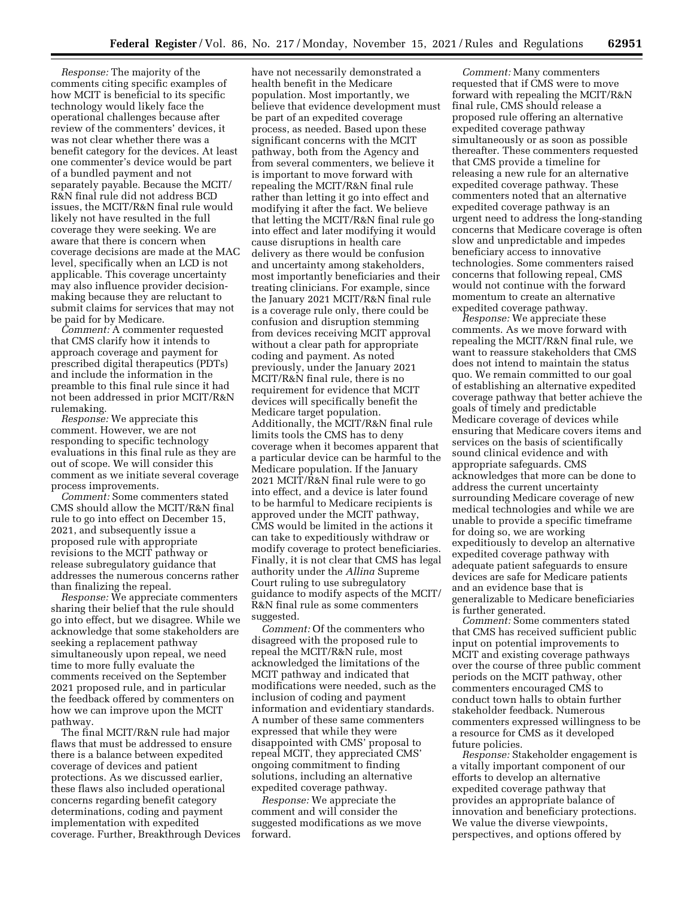*Response:* The majority of the comments citing specific examples of how MCIT is beneficial to its specific technology would likely face the operational challenges because after review of the commenters' devices, it was not clear whether there was a benefit category for the devices. At least one commenter's device would be part of a bundled payment and not separately payable. Because the MCIT/ R&N final rule did not address BCD issues, the MCIT/R&N final rule would likely not have resulted in the full coverage they were seeking. We are aware that there is concern when coverage decisions are made at the MAC level, specifically when an LCD is not applicable. This coverage uncertainty may also influence provider decisionmaking because they are reluctant to submit claims for services that may not be paid for by Medicare.

*Comment:* A commenter requested that CMS clarify how it intends to approach coverage and payment for prescribed digital therapeutics (PDTs) and include the information in the preamble to this final rule since it had not been addressed in prior MCIT/R&N rulemaking.

*Response:* We appreciate this comment. However, we are not responding to specific technology evaluations in this final rule as they are out of scope. We will consider this comment as we initiate several coverage process improvements.

*Comment:* Some commenters stated CMS should allow the MCIT/R&N final rule to go into effect on December 15, 2021, and subsequently issue a proposed rule with appropriate revisions to the MCIT pathway or release subregulatory guidance that addresses the numerous concerns rather than finalizing the repeal.

*Response:* We appreciate commenters sharing their belief that the rule should go into effect, but we disagree. While we acknowledge that some stakeholders are seeking a replacement pathway simultaneously upon repeal, we need time to more fully evaluate the comments received on the September 2021 proposed rule, and in particular the feedback offered by commenters on how we can improve upon the MCIT pathway.

The final MCIT/R&N rule had major flaws that must be addressed to ensure there is a balance between expedited coverage of devices and patient protections. As we discussed earlier, these flaws also included operational concerns regarding benefit category determinations, coding and payment implementation with expedited coverage. Further, Breakthrough Devices

have not necessarily demonstrated a health benefit in the Medicare population. Most importantly, we believe that evidence development must be part of an expedited coverage process, as needed. Based upon these significant concerns with the MCIT pathway, both from the Agency and from several commenters, we believe it is important to move forward with repealing the MCIT/R&N final rule rather than letting it go into effect and modifying it after the fact. We believe that letting the MCIT/R&N final rule go into effect and later modifying it would cause disruptions in health care delivery as there would be confusion and uncertainty among stakeholders, most importantly beneficiaries and their treating clinicians. For example, since the January 2021 MCIT/R&N final rule is a coverage rule only, there could be confusion and disruption stemming from devices receiving MCIT approval without a clear path for appropriate coding and payment. As noted previously, under the January 2021 MCIT/R&N final rule, there is no requirement for evidence that MCIT devices will specifically benefit the Medicare target population. Additionally, the MCIT/R&N final rule limits tools the CMS has to deny coverage when it becomes apparent that a particular device can be harmful to the Medicare population. If the January 2021 MCIT/R&N final rule were to go into effect, and a device is later found to be harmful to Medicare recipients is approved under the MCIT pathway, CMS would be limited in the actions it can take to expeditiously withdraw or modify coverage to protect beneficiaries. Finally, it is not clear that CMS has legal authority under the *Allina* Supreme Court ruling to use subregulatory guidance to modify aspects of the MCIT/ R&N final rule as some commenters suggested.

*Comment:* Of the commenters who disagreed with the proposed rule to repeal the MCIT/R&N rule, most acknowledged the limitations of the MCIT pathway and indicated that modifications were needed, such as the inclusion of coding and payment information and evidentiary standards. A number of these same commenters expressed that while they were disappointed with CMS' proposal to repeal MCIT, they appreciated CMS' ongoing commitment to finding solutions, including an alternative expedited coverage pathway.

*Response:* We appreciate the comment and will consider the suggested modifications as we move forward.

*Comment:* Many commenters requested that if CMS were to move forward with repealing the MCIT/R&N final rule, CMS should release a proposed rule offering an alternative expedited coverage pathway simultaneously or as soon as possible thereafter. These commenters requested that CMS provide a timeline for releasing a new rule for an alternative expedited coverage pathway. These commenters noted that an alternative expedited coverage pathway is an urgent need to address the long-standing concerns that Medicare coverage is often slow and unpredictable and impedes beneficiary access to innovative technologies. Some commenters raised concerns that following repeal, CMS would not continue with the forward momentum to create an alternative expedited coverage pathway.

*Response:* We appreciate these comments. As we move forward with repealing the MCIT/R&N final rule, we want to reassure stakeholders that CMS does not intend to maintain the status quo. We remain committed to our goal of establishing an alternative expedited coverage pathway that better achieve the goals of timely and predictable Medicare coverage of devices while ensuring that Medicare covers items and services on the basis of scientifically sound clinical evidence and with appropriate safeguards. CMS acknowledges that more can be done to address the current uncertainty surrounding Medicare coverage of new medical technologies and while we are unable to provide a specific timeframe for doing so, we are working expeditiously to develop an alternative expedited coverage pathway with adequate patient safeguards to ensure devices are safe for Medicare patients and an evidence base that is generalizable to Medicare beneficiaries is further generated.

*Comment:* Some commenters stated that CMS has received sufficient public input on potential improvements to MCIT and existing coverage pathways over the course of three public comment periods on the MCIT pathway, other commenters encouraged CMS to conduct town halls to obtain further stakeholder feedback. Numerous commenters expressed willingness to be a resource for CMS as it developed future policies.

*Response:* Stakeholder engagement is a vitally important component of our efforts to develop an alternative expedited coverage pathway that provides an appropriate balance of innovation and beneficiary protections. We value the diverse viewpoints, perspectives, and options offered by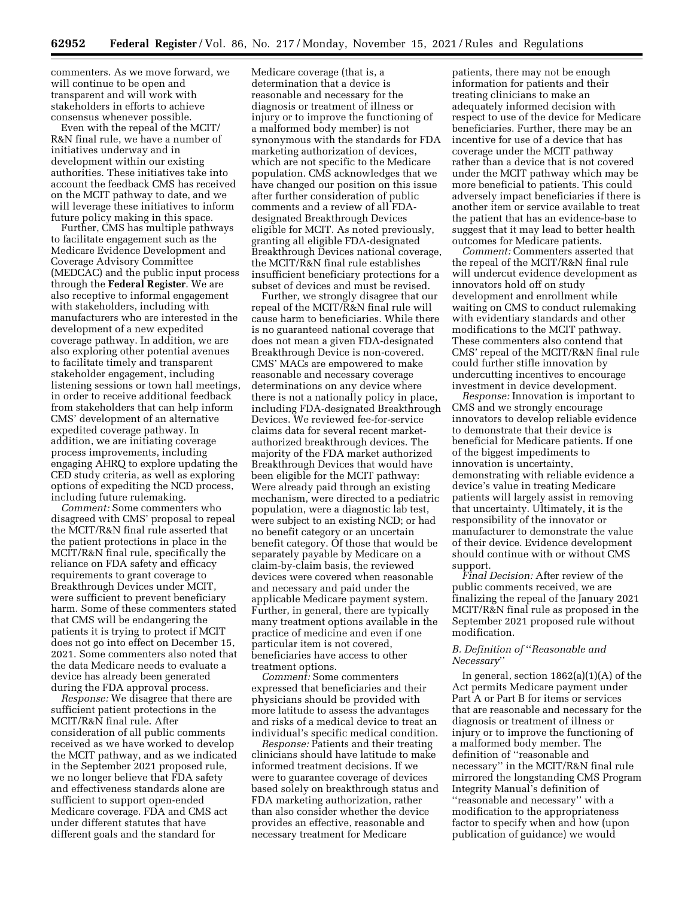commenters. As we move forward, we will continue to be open and transparent and will work with stakeholders in efforts to achieve consensus whenever possible.

Even with the repeal of the MCIT/ R&N final rule, we have a number of initiatives underway and in development within our existing authorities. These initiatives take into account the feedback CMS has received on the MCIT pathway to date, and we will leverage these initiatives to inform future policy making in this space.

Further, CMS has multiple pathways to facilitate engagement such as the Medicare Evidence Development and Coverage Advisory Committee (MEDCAC) and the public input process through the **Federal Register**. We are also receptive to informal engagement with stakeholders, including with manufacturers who are interested in the development of a new expedited coverage pathway. In addition, we are also exploring other potential avenues to facilitate timely and transparent stakeholder engagement, including listening sessions or town hall meetings, in order to receive additional feedback from stakeholders that can help inform CMS' development of an alternative expedited coverage pathway. In addition, we are initiating coverage process improvements, including engaging AHRQ to explore updating the CED study criteria, as well as exploring options of expediting the NCD process, including future rulemaking.

*Comment:* Some commenters who disagreed with CMS' proposal to repeal the MCIT/R&N final rule asserted that the patient protections in place in the MCIT/R&N final rule, specifically the reliance on FDA safety and efficacy requirements to grant coverage to Breakthrough Devices under MCIT, were sufficient to prevent beneficiary harm. Some of these commenters stated that CMS will be endangering the patients it is trying to protect if MCIT does not go into effect on December 15, 2021. Some commenters also noted that the data Medicare needs to evaluate a device has already been generated during the FDA approval process.

*Response:* We disagree that there are sufficient patient protections in the MCIT/R&N final rule. After consideration of all public comments received as we have worked to develop the MCIT pathway, and as we indicated in the September 2021 proposed rule, we no longer believe that FDA safety and effectiveness standards alone are sufficient to support open-ended Medicare coverage. FDA and CMS act under different statutes that have different goals and the standard for

Medicare coverage (that is, a determination that a device is reasonable and necessary for the diagnosis or treatment of illness or injury or to improve the functioning of a malformed body member) is not synonymous with the standards for FDA marketing authorization of devices, which are not specific to the Medicare population. CMS acknowledges that we have changed our position on this issue after further consideration of public comments and a review of all FDAdesignated Breakthrough Devices eligible for MCIT. As noted previously, granting all eligible FDA-designated Breakthrough Devices national coverage, the MCIT/R&N final rule establishes insufficient beneficiary protections for a subset of devices and must be revised.

Further, we strongly disagree that our repeal of the MCIT/R&N final rule will cause harm to beneficiaries. While there is no guaranteed national coverage that does not mean a given FDA-designated Breakthrough Device is non-covered. CMS' MACs are empowered to make reasonable and necessary coverage determinations on any device where there is not a nationally policy in place, including FDA-designated Breakthrough Devices. We reviewed fee-for-service claims data for several recent marketauthorized breakthrough devices. The majority of the FDA market authorized Breakthrough Devices that would have been eligible for the MCIT pathway: Were already paid through an existing mechanism, were directed to a pediatric population, were a diagnostic lab test, were subject to an existing NCD; or had no benefit category or an uncertain benefit category. Of those that would be separately payable by Medicare on a claim-by-claim basis, the reviewed devices were covered when reasonable and necessary and paid under the applicable Medicare payment system. Further, in general, there are typically many treatment options available in the practice of medicine and even if one particular item is not covered, beneficiaries have access to other treatment options.

*Comment:* Some commenters expressed that beneficiaries and their physicians should be provided with more latitude to assess the advantages and risks of a medical device to treat an individual's specific medical condition.

*Response:* Patients and their treating clinicians should have latitude to make informed treatment decisions. If we were to guarantee coverage of devices based solely on breakthrough status and FDA marketing authorization, rather than also consider whether the device provides an effective, reasonable and necessary treatment for Medicare

patients, there may not be enough information for patients and their treating clinicians to make an adequately informed decision with respect to use of the device for Medicare beneficiaries. Further, there may be an incentive for use of a device that has coverage under the MCIT pathway rather than a device that is not covered under the MCIT pathway which may be more beneficial to patients. This could adversely impact beneficiaries if there is another item or service available to treat the patient that has an evidence-base to suggest that it may lead to better health outcomes for Medicare patients.

*Comment:* Commenters asserted that the repeal of the MCIT/R&N final rule will undercut evidence development as innovators hold off on study development and enrollment while waiting on CMS to conduct rulemaking with evidentiary standards and other modifications to the MCIT pathway. These commenters also contend that CMS' repeal of the MCIT/R&N final rule could further stifle innovation by undercutting incentives to encourage investment in device development.

*Response:* Innovation is important to CMS and we strongly encourage innovators to develop reliable evidence to demonstrate that their device is beneficial for Medicare patients. If one of the biggest impediments to innovation is uncertainty, demonstrating with reliable evidence a device's value in treating Medicare patients will largely assist in removing that uncertainty. Ultimately, it is the responsibility of the innovator or manufacturer to demonstrate the value of their device. Evidence development should continue with or without CMS support.

*Final Decision:* After review of the public comments received, we are finalizing the repeal of the January 2021 MCIT/R&N final rule as proposed in the September 2021 proposed rule without modification.

# *B. Definition of* ''*Reasonable and Necessary*''

In general, section 1862(a)(1)(A) of the Act permits Medicare payment under Part A or Part B for items or services that are reasonable and necessary for the diagnosis or treatment of illness or injury or to improve the functioning of a malformed body member. The definition of ''reasonable and necessary'' in the MCIT/R&N final rule mirrored the longstanding CMS Program Integrity Manual's definition of ''reasonable and necessary'' with a modification to the appropriateness factor to specify when and how (upon publication of guidance) we would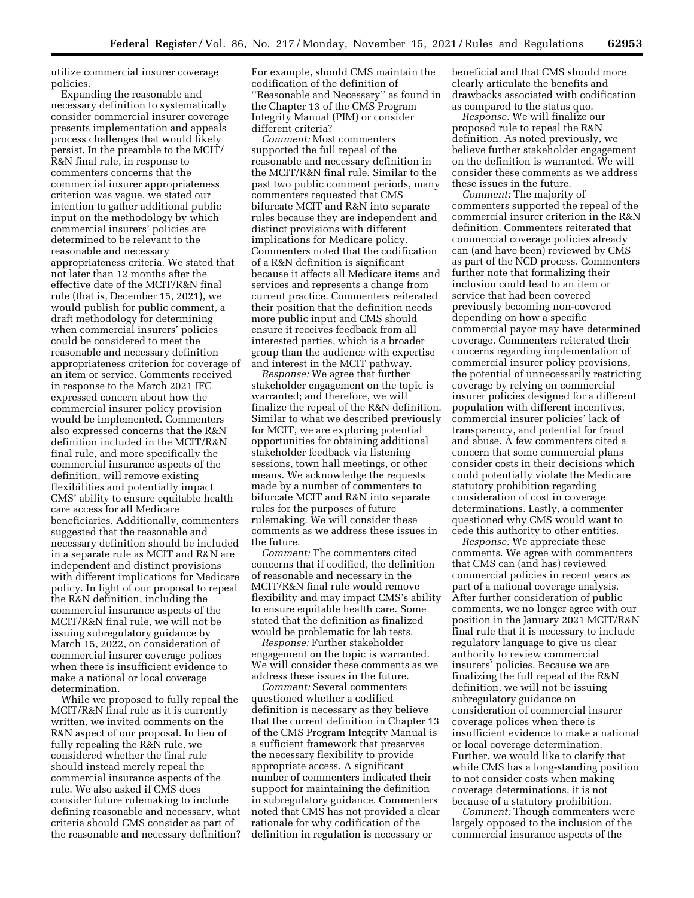utilize commercial insurer coverage policies.

Expanding the reasonable and necessary definition to systematically consider commercial insurer coverage presents implementation and appeals process challenges that would likely persist. In the preamble to the MCIT/ R&N final rule, in response to commenters concerns that the commercial insurer appropriateness criterion was vague, we stated our intention to gather additional public input on the methodology by which commercial insurers' policies are determined to be relevant to the reasonable and necessary appropriateness criteria. We stated that not later than 12 months after the effective date of the MCIT/R&N final rule (that is, December 15, 2021), we would publish for public comment, a draft methodology for determining when commercial insurers' policies could be considered to meet the reasonable and necessary definition appropriateness criterion for coverage of an item or service. Comments received in response to the March 2021 IFC expressed concern about how the commercial insurer policy provision would be implemented. Commenters also expressed concerns that the R&N definition included in the MCIT/R&N final rule, and more specifically the commercial insurance aspects of the definition, will remove existing flexibilities and potentially impact CMS' ability to ensure equitable health care access for all Medicare beneficiaries. Additionally, commenters suggested that the reasonable and necessary definition should be included in a separate rule as MCIT and R&N are independent and distinct provisions with different implications for Medicare policy. In light of our proposal to repeal the R&N definition, including the commercial insurance aspects of the MCIT/R&N final rule, we will not be issuing subregulatory guidance by March 15, 2022, on consideration of commercial insurer coverage polices when there is insufficient evidence to make a national or local coverage determination.

While we proposed to fully repeal the MCIT/R&N final rule as it is currently written, we invited comments on the R&N aspect of our proposal. In lieu of fully repealing the R&N rule, we considered whether the final rule should instead merely repeal the commercial insurance aspects of the rule. We also asked if CMS does consider future rulemaking to include defining reasonable and necessary, what criteria should CMS consider as part of the reasonable and necessary definition? For example, should CMS maintain the codification of the definition of ''Reasonable and Necessary'' as found in the Chapter 13 of the CMS Program Integrity Manual (PIM) or consider different criteria?

*Comment:* Most commenters supported the full repeal of the reasonable and necessary definition in the MCIT/R&N final rule. Similar to the past two public comment periods, many commenters requested that CMS bifurcate MCIT and R&N into separate rules because they are independent and distinct provisions with different implications for Medicare policy. Commenters noted that the codification of a R&N definition is significant because it affects all Medicare items and services and represents a change from current practice. Commenters reiterated their position that the definition needs more public input and CMS should ensure it receives feedback from all interested parties, which is a broader group than the audience with expertise and interest in the MCIT pathway.

*Response:* We agree that further stakeholder engagement on the topic is warranted; and therefore, we will finalize the repeal of the R&N definition. Similar to what we described previously for MCIT, we are exploring potential opportunities for obtaining additional stakeholder feedback via listening sessions, town hall meetings, or other means. We acknowledge the requests made by a number of commenters to bifurcate MCIT and R&N into separate rules for the purposes of future rulemaking. We will consider these comments as we address these issues in the future.

*Comment:* The commenters cited concerns that if codified, the definition of reasonable and necessary in the MCIT/R&N final rule would remove flexibility and may impact CMS's ability to ensure equitable health care. Some stated that the definition as finalized would be problematic for lab tests.

*Response:* Further stakeholder engagement on the topic is warranted. We will consider these comments as we address these issues in the future.

*Comment:* Several commenters questioned whether a codified definition is necessary as they believe that the current definition in Chapter 13 of the CMS Program Integrity Manual is a sufficient framework that preserves the necessary flexibility to provide appropriate access. A significant number of commenters indicated their support for maintaining the definition in subregulatory guidance. Commenters noted that CMS has not provided a clear rationale for why codification of the definition in regulation is necessary or

beneficial and that CMS should more clearly articulate the benefits and drawbacks associated with codification as compared to the status quo.

*Response:* We will finalize our proposed rule to repeal the R&N definition. As noted previously, we believe further stakeholder engagement on the definition is warranted. We will consider these comments as we address these issues in the future.

*Comment:* The majority of commenters supported the repeal of the commercial insurer criterion in the R&N definition. Commenters reiterated that commercial coverage policies already can (and have been) reviewed by CMS as part of the NCD process. Commenters further note that formalizing their inclusion could lead to an item or service that had been covered previously becoming non-covered depending on how a specific commercial payor may have determined coverage. Commenters reiterated their concerns regarding implementation of commercial insurer policy provisions, the potential of unnecessarily restricting coverage by relying on commercial insurer policies designed for a different population with different incentives, commercial insurer policies' lack of transparency, and potential for fraud and abuse. A few commenters cited a concern that some commercial plans consider costs in their decisions which could potentially violate the Medicare statutory prohibition regarding consideration of cost in coverage determinations. Lastly, a commenter questioned why CMS would want to cede this authority to other entities.

*Response:* We appreciate these comments. We agree with commenters that CMS can (and has) reviewed commercial policies in recent years as part of a national coverage analysis. After further consideration of public comments, we no longer agree with our position in the January 2021 MCIT/R&N final rule that it is necessary to include regulatory language to give us clear authority to review commercial insurers' policies. Because we are finalizing the full repeal of the R&N definition, we will not be issuing subregulatory guidance on consideration of commercial insurer coverage polices when there is insufficient evidence to make a national or local coverage determination. Further, we would like to clarify that while CMS has a long-standing position to not consider costs when making coverage determinations, it is not because of a statutory prohibition.

*Comment:* Though commenters were largely opposed to the inclusion of the commercial insurance aspects of the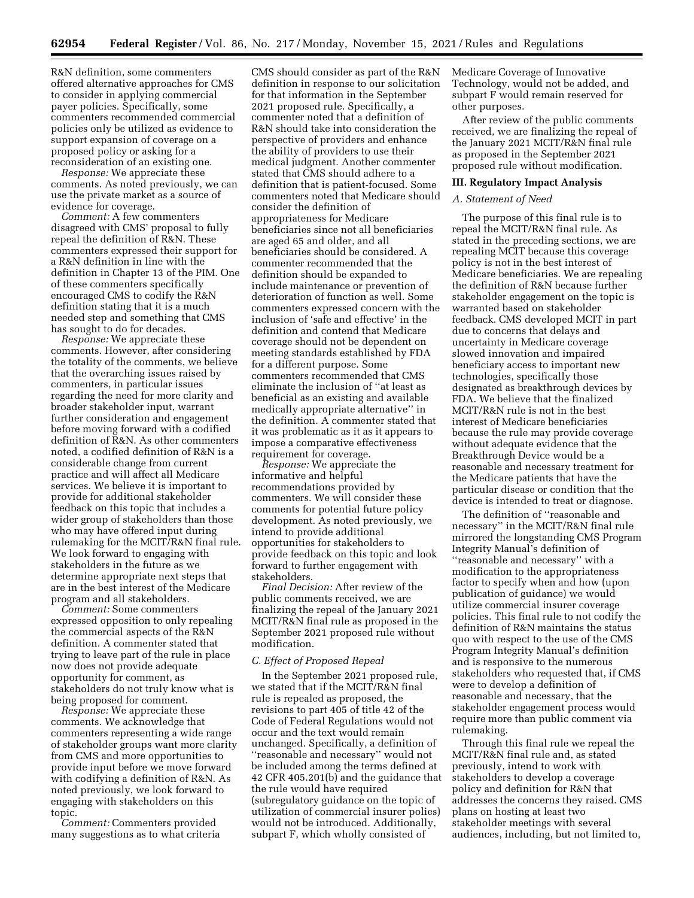R&N definition, some commenters offered alternative approaches for CMS to consider in applying commercial payer policies. Specifically, some commenters recommended commercial policies only be utilized as evidence to support expansion of coverage on a proposed policy or asking for a reconsideration of an existing one.

*Response:* We appreciate these comments. As noted previously, we can use the private market as a source of evidence for coverage.

*Comment:* A few commenters disagreed with CMS' proposal to fully repeal the definition of R&N. These commenters expressed their support for a R&N definition in line with the definition in Chapter 13 of the PIM. One of these commenters specifically encouraged CMS to codify the R&N definition stating that it is a much needed step and something that CMS has sought to do for decades.

*Response:* We appreciate these comments. However, after considering the totality of the comments, we believe that the overarching issues raised by commenters, in particular issues regarding the need for more clarity and broader stakeholder input, warrant further consideration and engagement before moving forward with a codified definition of R&N. As other commenters noted, a codified definition of R&N is a considerable change from current practice and will affect all Medicare services. We believe it is important to provide for additional stakeholder feedback on this topic that includes a wider group of stakeholders than those who may have offered input during rulemaking for the MCIT/R&N final rule. We look forward to engaging with stakeholders in the future as we determine appropriate next steps that are in the best interest of the Medicare program and all stakeholders.

*Comment:* Some commenters expressed opposition to only repealing the commercial aspects of the R&N definition. A commenter stated that trying to leave part of the rule in place now does not provide adequate opportunity for comment, as stakeholders do not truly know what is being proposed for comment.

*Response:* We appreciate these comments. We acknowledge that commenters representing a wide range of stakeholder groups want more clarity from CMS and more opportunities to provide input before we move forward with codifying a definition of R&N. As noted previously, we look forward to engaging with stakeholders on this topic.

*Comment:* Commenters provided many suggestions as to what criteria

CMS should consider as part of the R&N definition in response to our solicitation for that information in the September 2021 proposed rule. Specifically, a commenter noted that a definition of R&N should take into consideration the perspective of providers and enhance the ability of providers to use their medical judgment. Another commenter stated that CMS should adhere to a definition that is patient-focused. Some commenters noted that Medicare should consider the definition of appropriateness for Medicare beneficiaries since not all beneficiaries are aged 65 and older, and all beneficiaries should be considered. A commenter recommended that the definition should be expanded to include maintenance or prevention of deterioration of function as well. Some commenters expressed concern with the inclusion of 'safe and effective' in the definition and contend that Medicare coverage should not be dependent on meeting standards established by FDA for a different purpose. Some commenters recommended that CMS eliminate the inclusion of ''at least as beneficial as an existing and available medically appropriate alternative'' in the definition. A commenter stated that it was problematic as it as it appears to impose a comparative effectiveness requirement for coverage.

*Response:* We appreciate the informative and helpful recommendations provided by commenters. We will consider these comments for potential future policy development. As noted previously, we intend to provide additional opportunities for stakeholders to provide feedback on this topic and look forward to further engagement with stakeholders.

*Final Decision:* After review of the public comments received, we are finalizing the repeal of the January 2021 MCIT/R&N final rule as proposed in the September 2021 proposed rule without modification.

#### *C. Effect of Proposed Repeal*

In the September 2021 proposed rule, we stated that if the MCIT/R&N final rule is repealed as proposed, the revisions to part 405 of title 42 of the Code of Federal Regulations would not occur and the text would remain unchanged. Specifically, a definition of ''reasonable and necessary'' would not be included among the terms defined at 42 CFR 405.201(b) and the guidance that the rule would have required (subregulatory guidance on the topic of utilization of commercial insurer polies) would not be introduced. Additionally, subpart F, which wholly consisted of

Medicare Coverage of Innovative Technology, would not be added, and subpart F would remain reserved for other purposes.

After review of the public comments received, we are finalizing the repeal of the January 2021 MCIT/R&N final rule as proposed in the September 2021 proposed rule without modification.

#### **III. Regulatory Impact Analysis**

#### *A. Statement of Need*

The purpose of this final rule is to repeal the MCIT/R&N final rule. As stated in the preceding sections, we are repealing MCIT because this coverage policy is not in the best interest of Medicare beneficiaries. We are repealing the definition of R&N because further stakeholder engagement on the topic is warranted based on stakeholder feedback. CMS developed MCIT in part due to concerns that delays and uncertainty in Medicare coverage slowed innovation and impaired beneficiary access to important new technologies, specifically those designated as breakthrough devices by FDA. We believe that the finalized MCIT/R&N rule is not in the best interest of Medicare beneficiaries because the rule may provide coverage without adequate evidence that the Breakthrough Device would be a reasonable and necessary treatment for the Medicare patients that have the particular disease or condition that the device is intended to treat or diagnose.

The definition of ''reasonable and necessary'' in the MCIT/R&N final rule mirrored the longstanding CMS Program Integrity Manual's definition of ''reasonable and necessary'' with a modification to the appropriateness factor to specify when and how (upon publication of guidance) we would utilize commercial insurer coverage policies. This final rule to not codify the definition of R&N maintains the status quo with respect to the use of the CMS Program Integrity Manual's definition and is responsive to the numerous stakeholders who requested that, if CMS were to develop a definition of reasonable and necessary, that the stakeholder engagement process would require more than public comment via rulemaking.

Through this final rule we repeal the MCIT/R&N final rule and, as stated previously, intend to work with stakeholders to develop a coverage policy and definition for R&N that addresses the concerns they raised. CMS plans on hosting at least two stakeholder meetings with several audiences, including, but not limited to,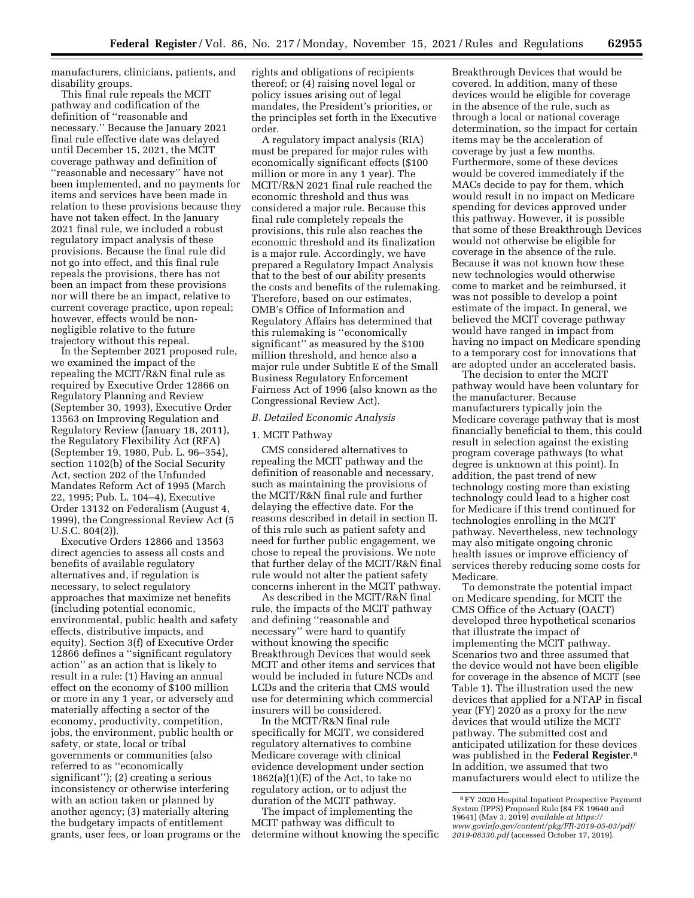manufacturers, clinicians, patients, and disability groups.

This final rule repeals the MCIT pathway and codification of the definition of ''reasonable and necessary.'' Because the January 2021 final rule effective date was delayed until December 15, 2021, the MCIT coverage pathway and definition of ''reasonable and necessary'' have not been implemented, and no payments for items and services have been made in relation to these provisions because they have not taken effect. In the January 2021 final rule, we included a robust regulatory impact analysis of these provisions. Because the final rule did not go into effect, and this final rule repeals the provisions, there has not been an impact from these provisions nor will there be an impact, relative to current coverage practice, upon repeal; however, effects would be nonnegligible relative to the future trajectory without this repeal.

In the September 2021 proposed rule, we examined the impact of the repealing the MCIT/R&N final rule as required by Executive Order 12866 on Regulatory Planning and Review (September 30, 1993), Executive Order 13563 on Improving Regulation and Regulatory Review (January 18, 2011), the Regulatory Flexibility Act (RFA) (September 19, 1980, Pub. L. 96–354), section 1102(b) of the Social Security Act, section 202 of the Unfunded Mandates Reform Act of 1995 (March 22, 1995; Pub. L. 104–4), Executive Order 13132 on Federalism (August 4, 1999), the Congressional Review Act (5 U.S.C. 804(2)).

Executive Orders 12866 and 13563 direct agencies to assess all costs and benefits of available regulatory alternatives and, if regulation is necessary, to select regulatory approaches that maximize net benefits (including potential economic, environmental, public health and safety effects, distributive impacts, and equity). Section 3(f) of Executive Order 12866 defines a ''significant regulatory action'' as an action that is likely to result in a rule: (1) Having an annual effect on the economy of \$100 million or more in any 1 year, or adversely and materially affecting a sector of the economy, productivity, competition, jobs, the environment, public health or safety, or state, local or tribal governments or communities (also referred to as ''economically significant''); (2) creating a serious inconsistency or otherwise interfering with an action taken or planned by another agency; (3) materially altering the budgetary impacts of entitlement grants, user fees, or loan programs or the rights and obligations of recipients thereof; or (4) raising novel legal or policy issues arising out of legal mandates, the President's priorities, or the principles set forth in the Executive order.

A regulatory impact analysis (RIA) must be prepared for major rules with economically significant effects (\$100 million or more in any 1 year). The MCIT/R&N 2021 final rule reached the economic threshold and thus was considered a major rule. Because this final rule completely repeals the provisions, this rule also reaches the economic threshold and its finalization is a major rule. Accordingly, we have prepared a Regulatory Impact Analysis that to the best of our ability presents the costs and benefits of the rulemaking. Therefore, based on our estimates, OMB's Office of Information and Regulatory Affairs has determined that this rulemaking is ''economically significant'' as measured by the \$100 million threshold, and hence also a major rule under Subtitle E of the Small Business Regulatory Enforcement Fairness Act of 1996 (also known as the Congressional Review Act).

#### *B. Detailed Economic Analysis*

## 1. MCIT Pathway

CMS considered alternatives to repealing the MCIT pathway and the definition of reasonable and necessary, such as maintaining the provisions of the MCIT/R&N final rule and further delaying the effective date. For the reasons described in detail in section II. of this rule such as patient safety and need for further public engagement, we chose to repeal the provisions. We note that further delay of the MCIT/R&N final rule would not alter the patient safety concerns inherent in the MCIT pathway.

As described in the MCIT/R&N final rule, the impacts of the MCIT pathway and defining ''reasonable and necessary'' were hard to quantify without knowing the specific Breakthrough Devices that would seek MCIT and other items and services that would be included in future NCDs and LCDs and the criteria that CMS would use for determining which commercial insurers will be considered.

In the MCIT/R&N final rule specifically for MCIT, we considered regulatory alternatives to combine Medicare coverage with clinical evidence development under section  $1862(a)(1)(E)$  of the Act, to take no regulatory action, or to adjust the duration of the MCIT pathway.

The impact of implementing the MCIT pathway was difficult to determine without knowing the specific

Breakthrough Devices that would be covered. In addition, many of these devices would be eligible for coverage in the absence of the rule, such as through a local or national coverage determination, so the impact for certain items may be the acceleration of coverage by just a few months. Furthermore, some of these devices would be covered immediately if the MACs decide to pay for them, which would result in no impact on Medicare spending for devices approved under this pathway. However, it is possible that some of these Breakthrough Devices would not otherwise be eligible for coverage in the absence of the rule. Because it was not known how these new technologies would otherwise come to market and be reimbursed, it was not possible to develop a point estimate of the impact. In general, we believed the MCIT coverage pathway would have ranged in impact from having no impact on Medicare spending to a temporary cost for innovations that are adopted under an accelerated basis.

The decision to enter the MCIT pathway would have been voluntary for the manufacturer. Because manufacturers typically join the Medicare coverage pathway that is most financially beneficial to them, this could result in selection against the existing program coverage pathways (to what degree is unknown at this point). In addition, the past trend of new technology costing more than existing technology could lead to a higher cost for Medicare if this trend continued for technologies enrolling in the MCIT pathway. Nevertheless, new technology may also mitigate ongoing chronic health issues or improve efficiency of services thereby reducing some costs for Medicare.

To demonstrate the potential impact on Medicare spending, for MCIT the CMS Office of the Actuary (OACT) developed three hypothetical scenarios that illustrate the impact of implementing the MCIT pathway. Scenarios two and three assumed that the device would not have been eligible for coverage in the absence of MCIT (see Table 1). The illustration used the new devices that applied for a NTAP in fiscal year (FY) 2020 as a proxy for the new devices that would utilize the MCIT pathway. The submitted cost and anticipated utilization for these devices was published in the **Federal Register**.8 In addition, we assumed that two manufacturers would elect to utilize the

<sup>8</sup>FY 2020 Hospital Inpatient Prospective Payment System (IPPS) Proposed Rule (84 FR 19640 and 19641) (May 3, 2019) *available at [https://](https://www.govinfo.gov/content/pkg/FR-2019-05-03/pdf/2019-08330.pdf) [www.govinfo.gov/content/pkg/FR-2019-05-03/pdf/](https://www.govinfo.gov/content/pkg/FR-2019-05-03/pdf/2019-08330.pdf)  [2019-08330.pdf](https://www.govinfo.gov/content/pkg/FR-2019-05-03/pdf/2019-08330.pdf)* (accessed October 17, 2019).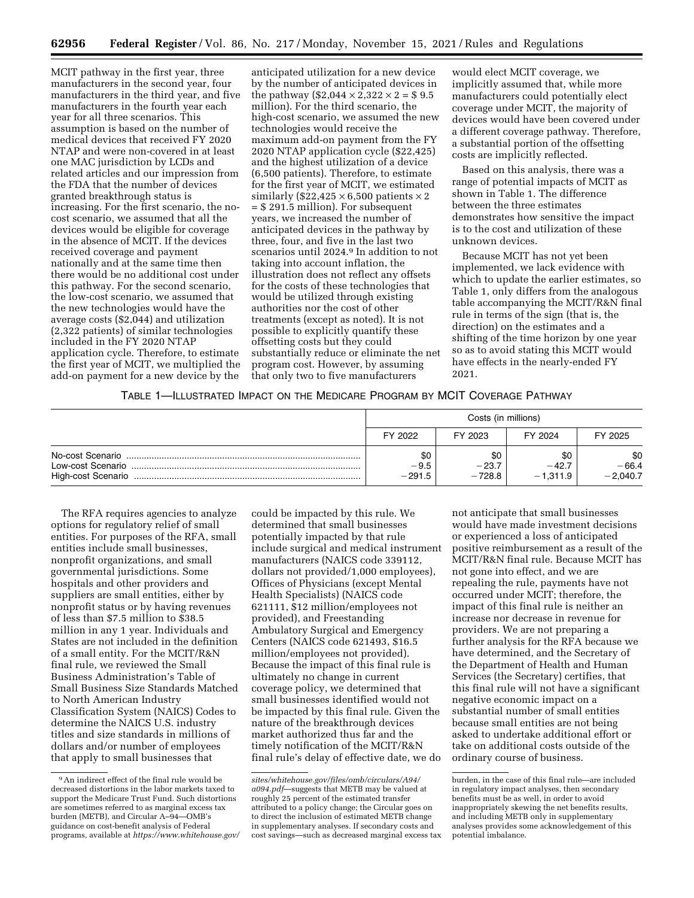MCIT pathway in the first year, three manufacturers in the second year, four manufacturers in the third year, and five manufacturers in the fourth year each year for all three scenarios. This assumption is based on the number of medical devices that received FY 2020 NTAP and were non-covered in at least one MAC jurisdiction by LCDs and related articles and our impression from the FDA that the number of devices granted breakthrough status is increasing. For the first scenario, the nocost scenario, we assumed that all the devices would be eligible for coverage in the absence of MCIT. If the devices received coverage and payment nationally and at the same time then there would be no additional cost under this pathway. For the second scenario, the low-cost scenario, we assumed that the new technologies would have the average costs (\$2,044) and utilization (2,322 patients) of similar technologies included in the FY 2020 NTAP application cycle. Therefore, to estimate the first year of MCIT, we multiplied the add-on payment for a new device by the

anticipated utilization for a new device by the number of anticipated devices in the pathway (\$2,044  $\times$  2,322  $\times$  2 = \$ 9.5 million). For the third scenario, the high-cost scenario, we assumed the new technologies would receive the maximum add-on payment from the FY 2020 NTAP application cycle (\$22,425) and the highest utilization of a device (6,500 patients). Therefore, to estimate for the first year of MCIT, we estimated similarly (\$22,425  $\times$  6,500 patients  $\times$  2 = \$ 291.5 million). For subsequent years, we increased the number of anticipated devices in the pathway by three, four, and five in the last two scenarios until 2024.9 In addition to not taking into account inflation, the illustration does not reflect any offsets for the costs of these technologies that would be utilized through existing authorities nor the cost of other treatments (except as noted). It is not possible to explicitly quantify these offsetting costs but they could substantially reduce or eliminate the net program cost. However, by assuming that only two to five manufacturers

would elect MCIT coverage, we implicitly assumed that, while more manufacturers could potentially elect coverage under MCIT, the majority of devices would have been covered under a different coverage pathway. Therefore, a substantial portion of the offsetting costs are implicitly reflected.

Based on this analysis, there was a range of potential impacts of MCIT as shown in Table 1. The difference between the three estimates demonstrates how sensitive the impact is to the cost and utilization of these unknown devices.

Because MCIT has not yet been implemented, we lack evidence with which to update the earlier estimates, so Table 1, only differs from the analogous table accompanying the MCIT/R&N final rule in terms of the sign (that is, the direction) on the estimates and a shifting of the time horizon by one year so as to avoid stating this MCIT would have effects in the nearly-ended FY 2021.

# TABLE 1—ILLUSTRATED IMPACT ON THE MEDICARE PROGRAM BY MCIT COVERAGE PATHWAY

|                                       | Costs (in millions)       |                            |                              |                              |
|---------------------------------------|---------------------------|----------------------------|------------------------------|------------------------------|
|                                       | FY 2022                   | FY 2023                    | FY 2024                      | FY 2025                      |
| No-cost Scenario<br>Low-cost Scenario | \$0<br>$-9.5$<br>$-291.5$ | \$0<br>$-23.7$<br>$-728.8$ | \$0<br>$-42.7$<br>$-1.311.9$ | \$0<br>$-66.4$<br>$-2.040.7$ |

The RFA requires agencies to analyze options for regulatory relief of small entities. For purposes of the RFA, small entities include small businesses, nonprofit organizations, and small governmental jurisdictions. Some hospitals and other providers and suppliers are small entities, either by nonprofit status or by having revenues of less than \$7.5 million to \$38.5 million in any 1 year. Individuals and States are not included in the definition of a small entity. For the MCIT/R&N final rule, we reviewed the Small Business Administration's Table of Small Business Size Standards Matched to North American Industry Classification System (NAICS) Codes to determine the NAICS U.S. industry titles and size standards in millions of dollars and/or number of employees that apply to small businesses that

could be impacted by this rule. We determined that small businesses potentially impacted by that rule include surgical and medical instrument manufacturers (NAICS code 339112, dollars not provided/1,000 employees), Offices of Physicians (except Mental Health Specialists) (NAICS code 621111, \$12 million/employees not provided), and Freestanding Ambulatory Surgical and Emergency Centers (NAICS code 621493, \$16.5 million/employees not provided). Because the impact of this final rule is ultimately no change in current coverage policy, we determined that small businesses identified would not be impacted by this final rule. Given the nature of the breakthrough devices market authorized thus far and the timely notification of the MCIT/R&N final rule's delay of effective date, we do

not anticipate that small businesses would have made investment decisions or experienced a loss of anticipated positive reimbursement as a result of the MCIT/R&N final rule. Because MCIT has not gone into effect, and we are repealing the rule, payments have not occurred under MCIT; therefore, the impact of this final rule is neither an increase nor decrease in revenue for providers. We are not preparing a further analysis for the RFA because we have determined, and the Secretary of the Department of Health and Human Services (the Secretary) certifies, that this final rule will not have a significant negative economic impact on a substantial number of small entities because small entities are not being asked to undertake additional effort or take on additional costs outside of the ordinary course of business.

<sup>9</sup>An indirect effect of the final rule would be decreased distortions in the labor markets taxed to support the Medicare Trust Fund. Such distortions are sometimes referred to as marginal excess tax burden (METB), and Circular A–94—OMB's guidance on cost-benefit analysis of Federal programs, available at *[https://www.whitehouse.gov/](https://www.whitehouse.gov/sites/whitehouse.gov/files/omb/circulars/A94/a094.pdf)* 

*[sites/whitehouse.gov/files/omb/circulars/A94/](https://www.whitehouse.gov/sites/whitehouse.gov/files/omb/circulars/A94/a094.pdf)  [a094.pdf](https://www.whitehouse.gov/sites/whitehouse.gov/files/omb/circulars/A94/a094.pdf)*—suggests that METB may be valued at roughly 25 percent of the estimated transfer attributed to a policy change; the Circular goes on to direct the inclusion of estimated METB change in supplementary analyses. If secondary costs and cost savings—such as decreased marginal excess tax

burden, in the case of this final rule—are included in regulatory impact analyses, then secondary benefits must be as well, in order to avoid inappropriately skewing the net benefits results, and including METB only in supplementary analyses provides some acknowledgement of this potential imbalance.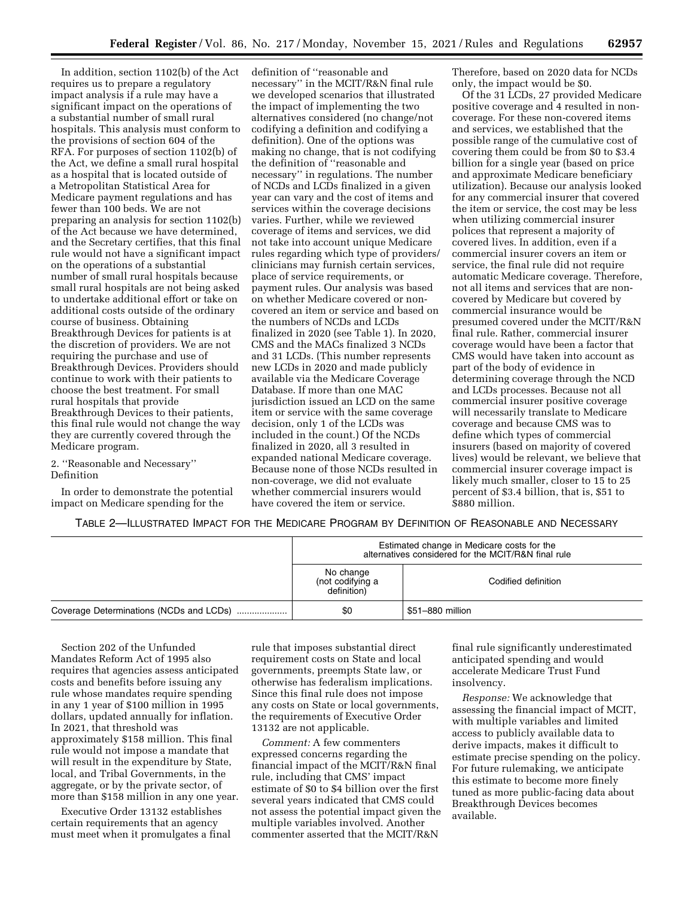In addition, section 1102(b) of the Act requires us to prepare a regulatory impact analysis if a rule may have a significant impact on the operations of a substantial number of small rural hospitals. This analysis must conform to the provisions of section 604 of the RFA. For purposes of section 1102(b) of the Act, we define a small rural hospital as a hospital that is located outside of a Metropolitan Statistical Area for Medicare payment regulations and has fewer than 100 beds. We are not preparing an analysis for section 1102(b) of the Act because we have determined, and the Secretary certifies, that this final rule would not have a significant impact on the operations of a substantial number of small rural hospitals because small rural hospitals are not being asked to undertake additional effort or take on additional costs outside of the ordinary course of business. Obtaining Breakthrough Devices for patients is at the discretion of providers. We are not requiring the purchase and use of Breakthrough Devices. Providers should continue to work with their patients to choose the best treatment. For small rural hospitals that provide Breakthrough Devices to their patients, this final rule would not change the way they are currently covered through the Medicare program.

2. ''Reasonable and Necessary'' Definition

In order to demonstrate the potential impact on Medicare spending for the

definition of ''reasonable and necessary'' in the MCIT/R&N final rule we developed scenarios that illustrated the impact of implementing the two alternatives considered (no change/not codifying a definition and codifying a definition). One of the options was making no change, that is not codifying the definition of ''reasonable and necessary'' in regulations. The number of NCDs and LCDs finalized in a given year can vary and the cost of items and services within the coverage decisions varies. Further, while we reviewed coverage of items and services, we did not take into account unique Medicare rules regarding which type of providers/ clinicians may furnish certain services, place of service requirements, or payment rules. Our analysis was based on whether Medicare covered or noncovered an item or service and based on the numbers of NCDs and LCDs finalized in 2020 (see Table 1). In 2020, CMS and the MACs finalized 3 NCDs and 31 LCDs. (This number represents new LCDs in 2020 and made publicly available via the Medicare Coverage Database. If more than one MAC jurisdiction issued an LCD on the same item or service with the same coverage decision, only 1 of the LCDs was included in the count.) Of the NCDs finalized in 2020, all 3 resulted in expanded national Medicare coverage. Because none of those NCDs resulted in non-coverage, we did not evaluate whether commercial insurers would have covered the item or service.

Therefore, based on 2020 data for NCDs only, the impact would be \$0.

Of the 31 LCDs, 27 provided Medicare positive coverage and 4 resulted in noncoverage. For these non-covered items and services, we established that the possible range of the cumulative cost of covering them could be from \$0 to \$3.4 billion for a single year (based on price and approximate Medicare beneficiary utilization). Because our analysis looked for any commercial insurer that covered the item or service, the cost may be less when utilizing commercial insurer polices that represent a majority of covered lives. In addition, even if a commercial insurer covers an item or service, the final rule did not require automatic Medicare coverage. Therefore, not all items and services that are noncovered by Medicare but covered by commercial insurance would be presumed covered under the MCIT/R&N final rule. Rather, commercial insurer coverage would have been a factor that CMS would have taken into account as part of the body of evidence in determining coverage through the NCD and LCDs processes. Because not all commercial insurer positive coverage will necessarily translate to Medicare coverage and because CMS was to define which types of commercial insurers (based on majority of covered lives) would be relevant, we believe that commercial insurer coverage impact is likely much smaller, closer to 15 to 25 percent of \$3.4 billion, that is, \$51 to \$880 million.

TABLE 2—ILLUSTRATED IMPACT FOR THE MEDICARE PROGRAM BY DEFINITION OF REASONABLE AND NECESSARY

| Estimated change in Medicare costs for the<br>alternatives considered for the MCIT/R&N final rule |                     |  |
|---------------------------------------------------------------------------------------------------|---------------------|--|
| No change<br>(not codifying a<br>definition)                                                      | Codified definition |  |
| \$0                                                                                               | \$51–880 million    |  |

Section 202 of the Unfunded Mandates Reform Act of 1995 also requires that agencies assess anticipated costs and benefits before issuing any rule whose mandates require spending in any 1 year of \$100 million in 1995 dollars, updated annually for inflation. In 2021, that threshold was approximately \$158 million. This final rule would not impose a mandate that will result in the expenditure by State, local, and Tribal Governments, in the aggregate, or by the private sector, of more than \$158 million in any one year.

Executive Order 13132 establishes certain requirements that an agency must meet when it promulgates a final

rule that imposes substantial direct requirement costs on State and local governments, preempts State law, or otherwise has federalism implications. Since this final rule does not impose any costs on State or local governments, the requirements of Executive Order 13132 are not applicable.

*Comment:* A few commenters expressed concerns regarding the financial impact of the MCIT/R&N final rule, including that CMS' impact estimate of \$0 to \$4 billion over the first several years indicated that CMS could not assess the potential impact given the multiple variables involved. Another commenter asserted that the MCIT/R&N

final rule significantly underestimated anticipated spending and would accelerate Medicare Trust Fund insolvency.

*Response:* We acknowledge that assessing the financial impact of MCIT, with multiple variables and limited access to publicly available data to derive impacts, makes it difficult to estimate precise spending on the policy. For future rulemaking, we anticipate this estimate to become more finely tuned as more public-facing data about Breakthrough Devices becomes available.